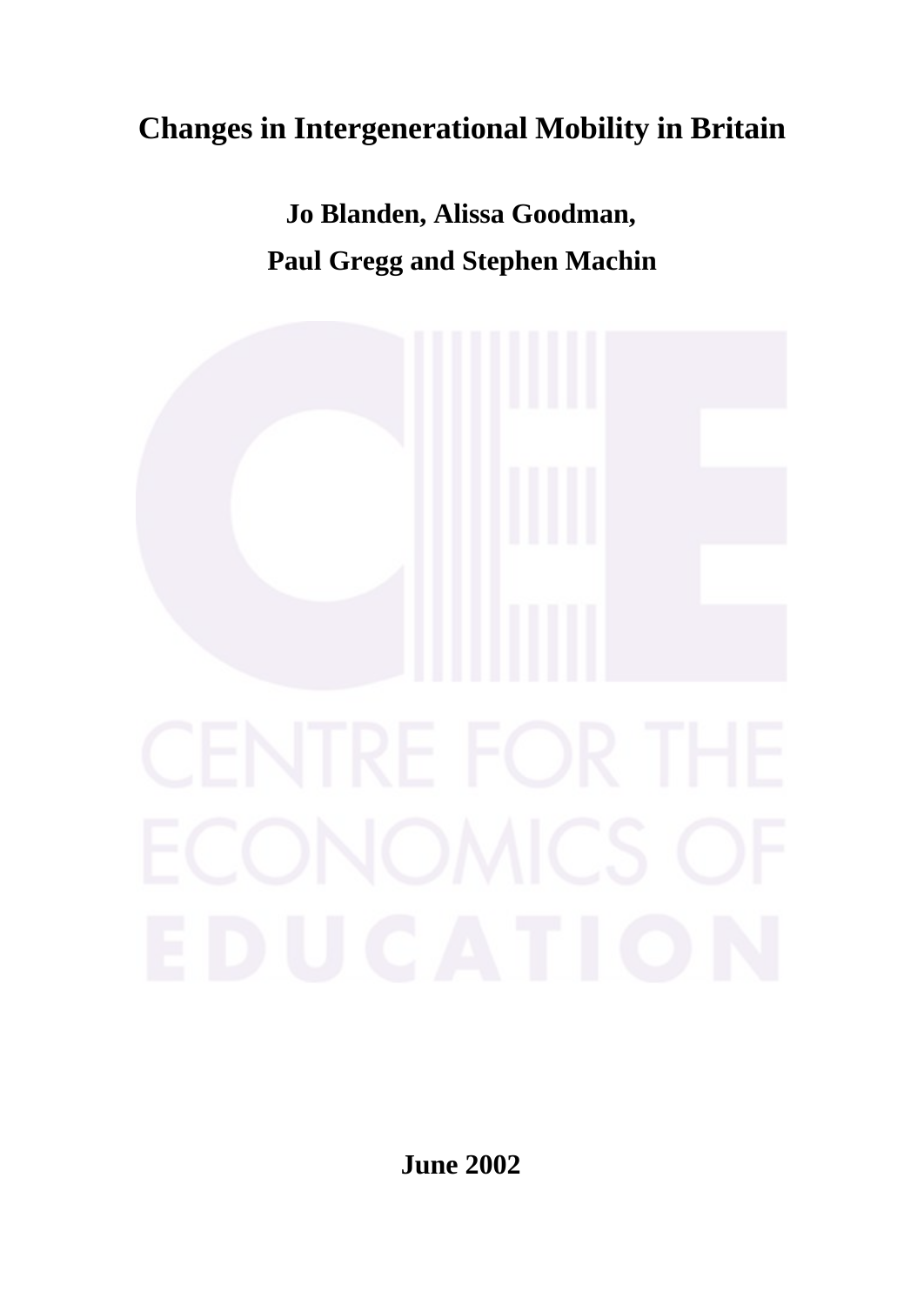# **Changes in Intergenerational Mobility in Britain**

**Jo Blanden, Alissa Goodman, Paul Gregg and Stephen Machin**



**June 2002**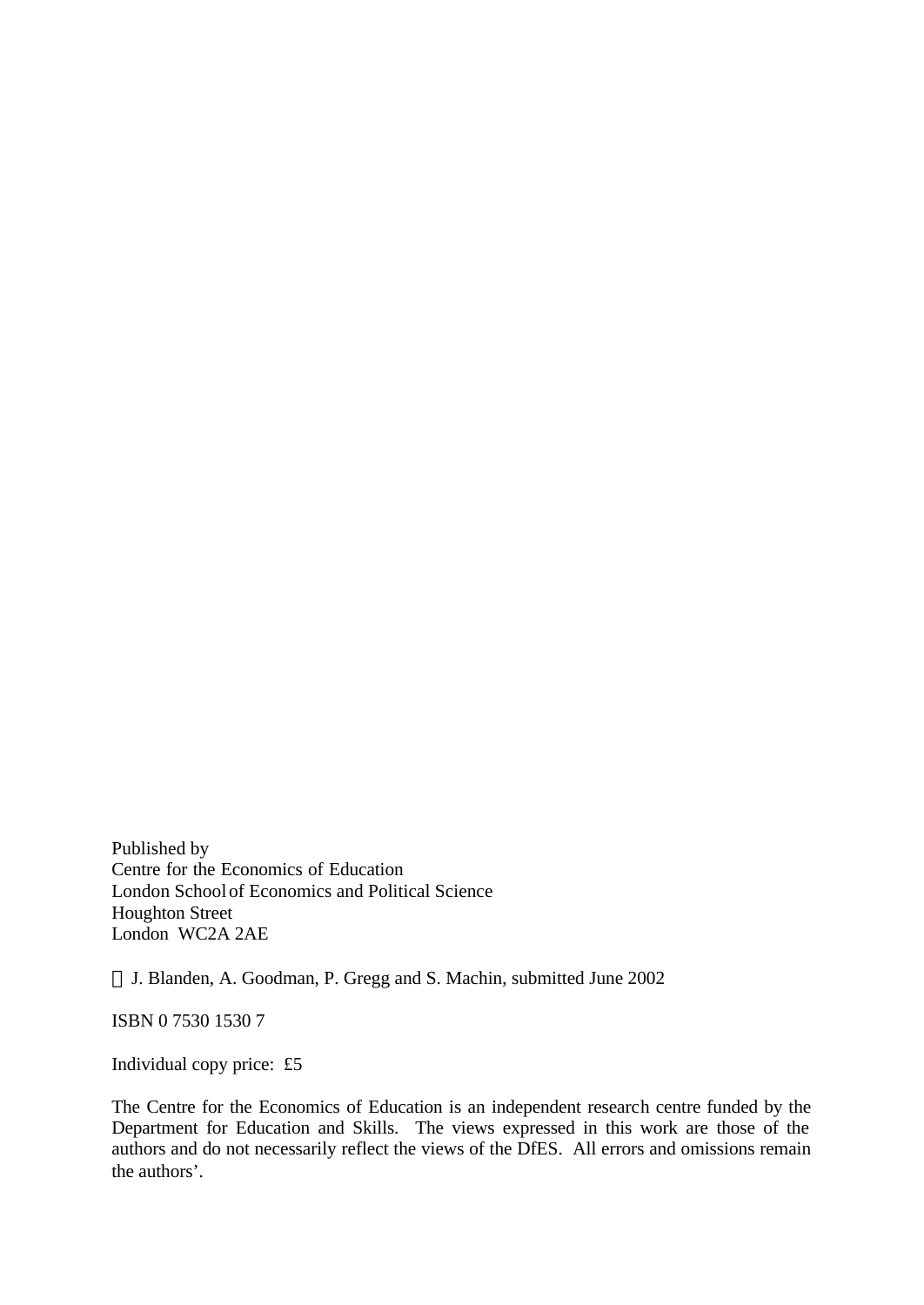Published by Centre for the Economics of Education London School of Economics and Political Science Houghton Street London WC2A 2AE

J. Blanden, A. Goodman, P. Gregg and S. Machin, submitted June 2002

ISBN 0 7530 1530 7

Individual copy price: £5

The Centre for the Economics of Education is an independent research centre funded by the Department for Education and Skills. The views expressed in this work are those of the authors and do not necessarily reflect the views of the DfES. All errors and omissions remain the authors'.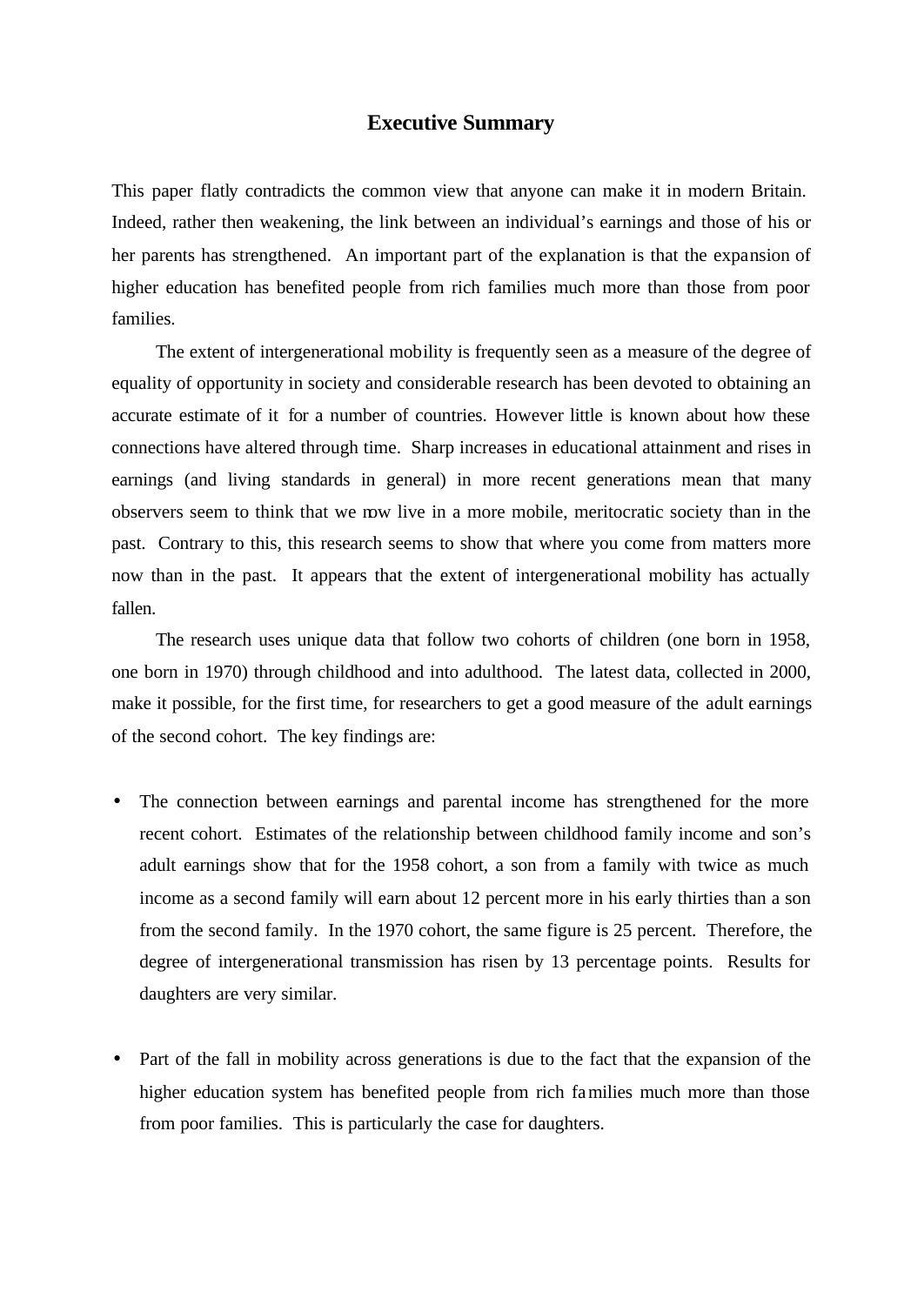### **Executive Summary**

This paper flatly contradicts the common view that anyone can make it in modern Britain. Indeed, rather then weakening, the link between an individual's earnings and those of his or her parents has strengthened. An important part of the explanation is that the expansion of higher education has benefited people from rich families much more than those from poor families.

The extent of intergenerational mobility is frequently seen as a measure of the degree of equality of opportunity in society and considerable research has been devoted to obtaining an accurate estimate of it for a number of countries. However little is known about how these connections have altered through time. Sharp increases in educational attainment and rises in earnings (and living standards in general) in more recent generations mean that many observers seem to think that we now live in a more mobile, meritocratic society than in the past. Contrary to this, this research seems to show that where you come from matters more now than in the past. It appears that the extent of intergenerational mobility has actually fallen.

The research uses unique data that follow two cohorts of children (one born in 1958, one born in 1970) through childhood and into adulthood. The latest data, collected in 2000, make it possible, for the first time, for researchers to get a good measure of the adult earnings of the second cohort. The key findings are:

- The connection between earnings and parental income has strengthened for the more recent cohort. Estimates of the relationship between childhood family income and son's adult earnings show that for the 1958 cohort, a son from a family with twice as much income as a second family will earn about 12 percent more in his early thirties than a son from the second family. In the 1970 cohort, the same figure is 25 percent. Therefore, the degree of intergenerational transmission has risen by 13 percentage points. Results for daughters are very similar.
- Part of the fall in mobility across generations is due to the fact that the expansion of the higher education system has benefited people from rich families much more than those from poor families. This is particularly the case for daughters.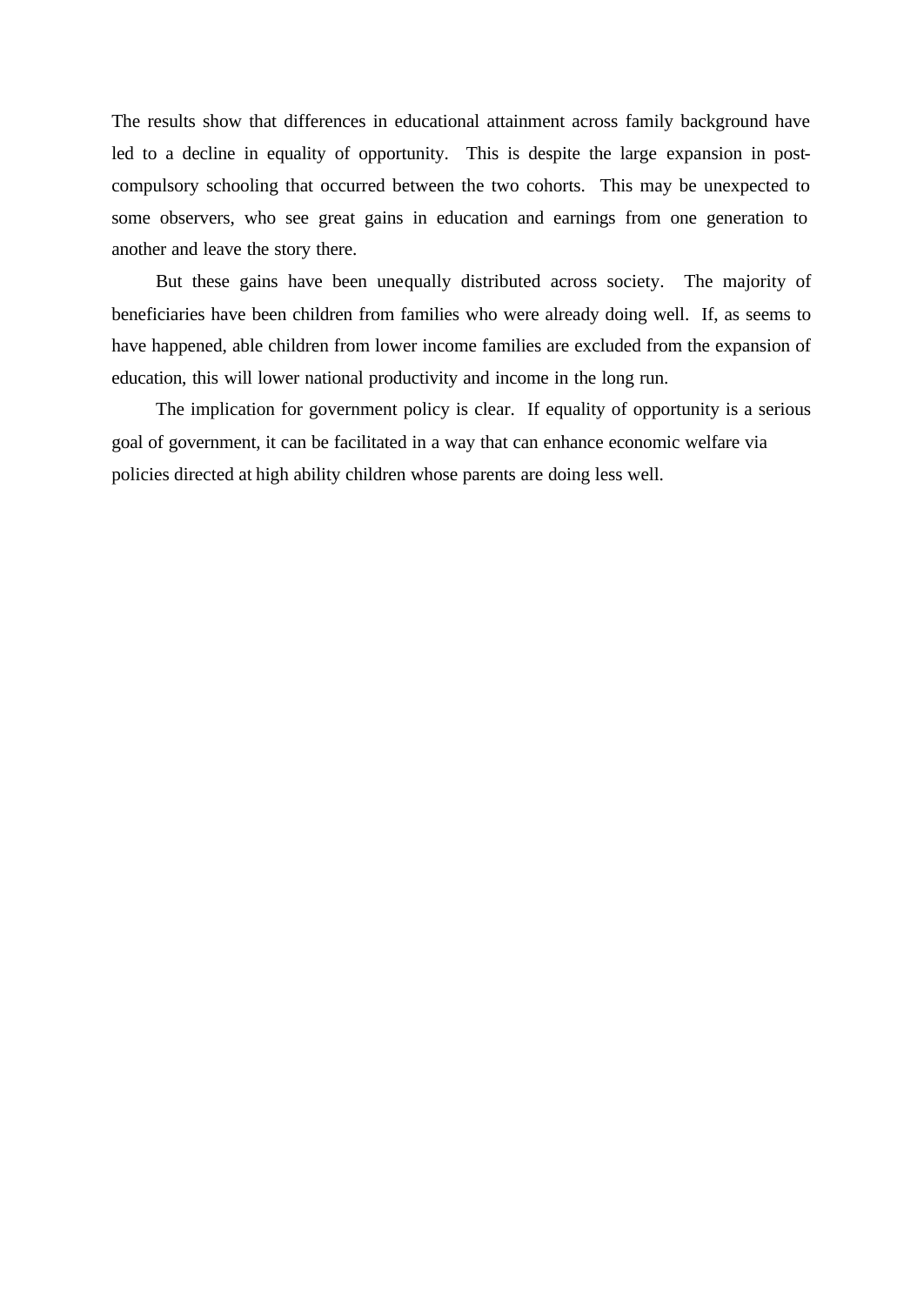The results show that differences in educational attainment across family background have led to a decline in equality of opportunity. This is despite the large expansion in postcompulsory schooling that occurred between the two cohorts. This may be unexpected to some observers, who see great gains in education and earnings from one generation to another and leave the story there.

But these gains have been unequally distributed across society. The majority of beneficiaries have been children from families who were already doing well. If, as seems to have happened, able children from lower income families are excluded from the expansion of education, this will lower national productivity and income in the long run.

The implication for government policy is clear. If equality of opportunity is a serious goal of government, it can be facilitated in a way that can enhance economic welfare via policies directed at high ability children whose parents are doing less well.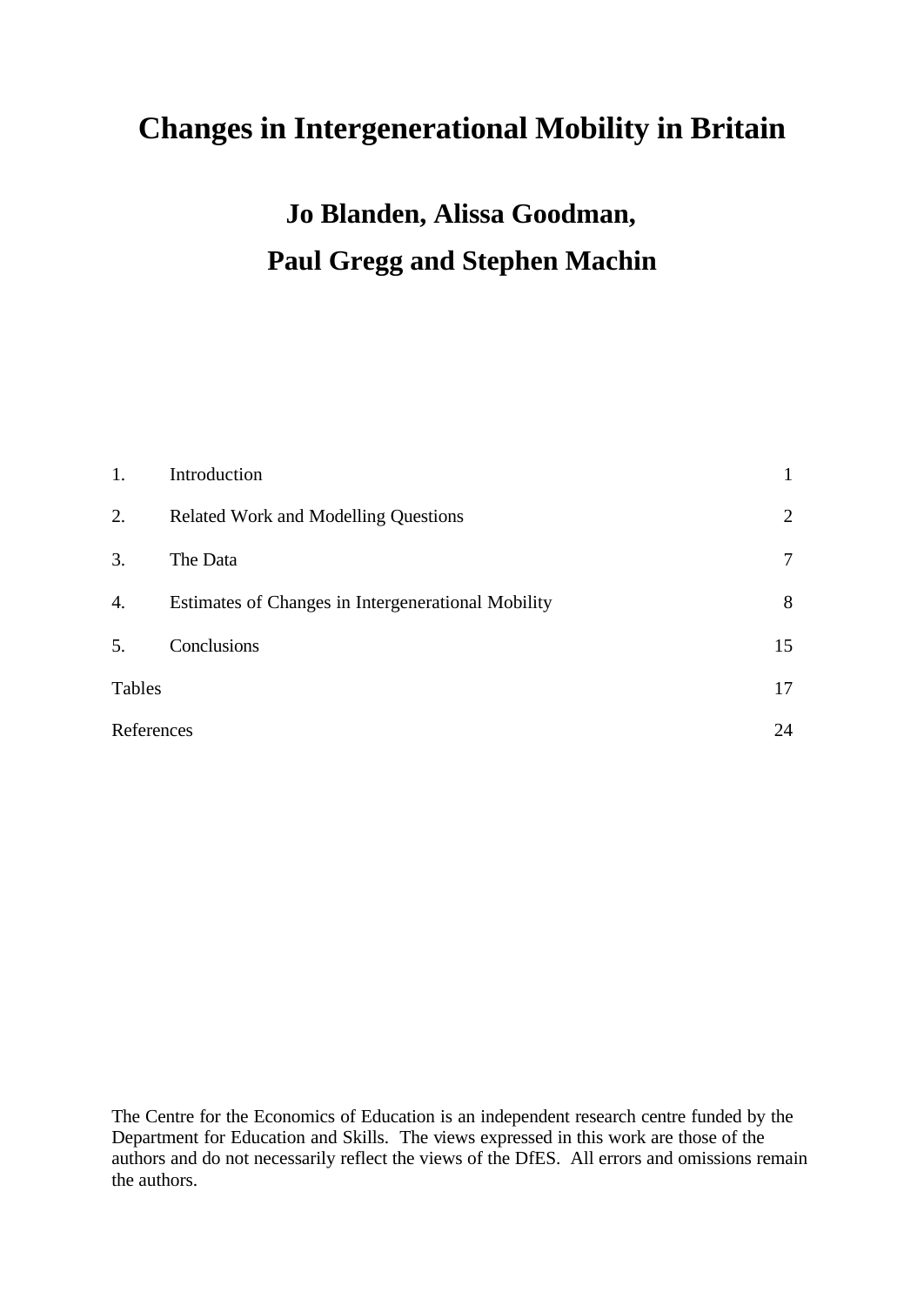# **Changes in Intergenerational Mobility in Britain**

# **Jo Blanden, Alissa Goodman, Paul Gregg and Stephen Machin**

| 1.         | Introduction                                       |                |
|------------|----------------------------------------------------|----------------|
| 2.         | <b>Related Work and Modelling Questions</b>        | $\overline{2}$ |
| 3.         | The Data                                           | $\overline{7}$ |
| 4.         | Estimates of Changes in Intergenerational Mobility | 8              |
| 5.         | Conclusions                                        | 15             |
| Tables     |                                                    | 17             |
| References |                                                    | 24             |

The Centre for the Economics of Education is an independent research centre funded by the Department for Education and Skills. The views expressed in this work are those of the authors and do not necessarily reflect the views of the DfES. All errors and omissions remain the authors.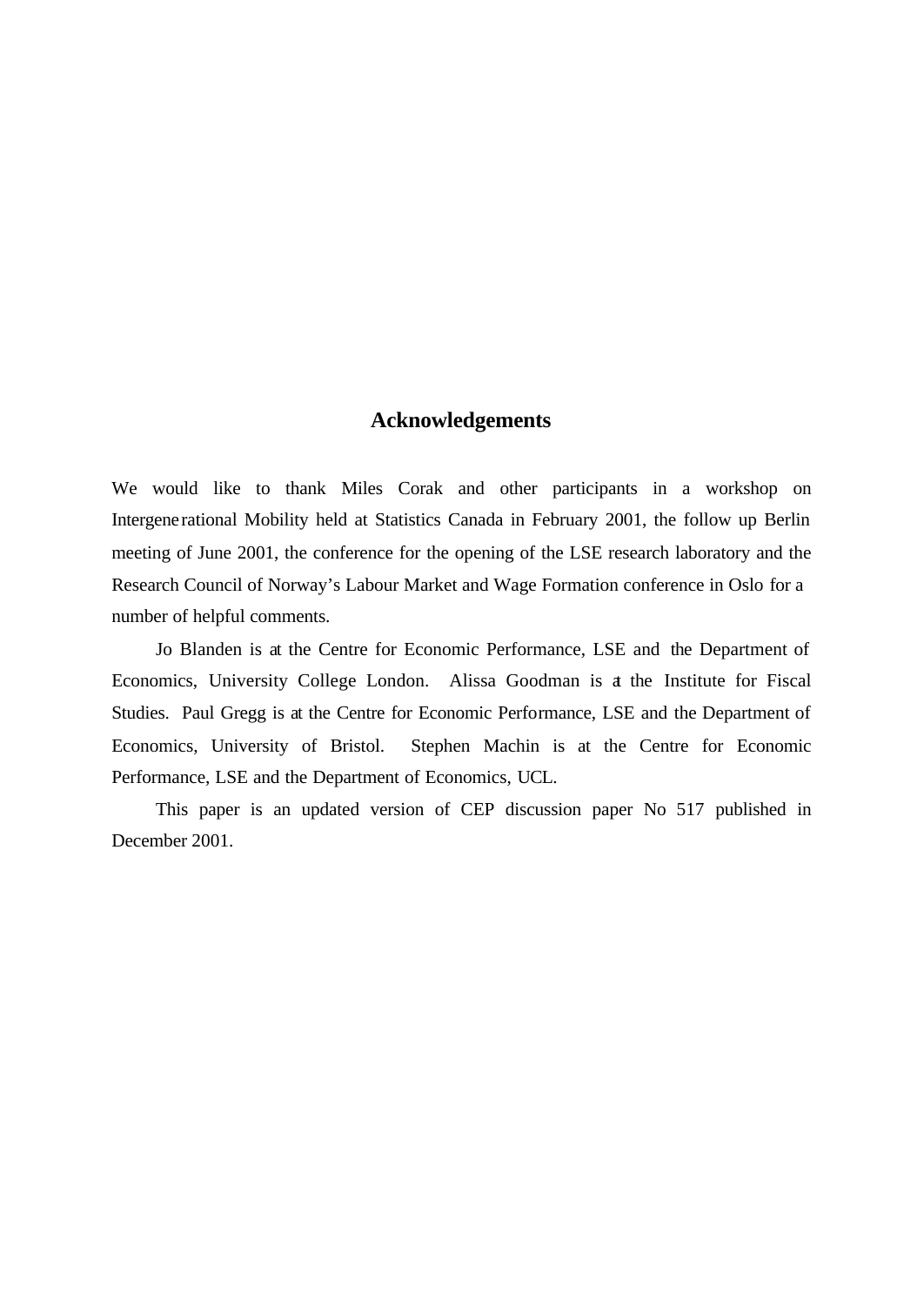# **Acknowledgements**

We would like to thank Miles Corak and other participants in a workshop on Intergenerational Mobility held at Statistics Canada in February 2001, the follow up Berlin meeting of June 2001, the conference for the opening of the LSE research laboratory and the Research Council of Norway's Labour Market and Wage Formation conference in Oslo for a number of helpful comments.

Jo Blanden is at the Centre for Economic Performance, LSE and the Department of Economics, University College London. Alissa Goodman is at the Institute for Fiscal Studies. Paul Gregg is at the Centre for Economic Performance, LSE and the Department of Economics, University of Bristol. Stephen Machin is at the Centre for Economic Performance, LSE and the Department of Economics, UCL.

This paper is an updated version of CEP discussion paper No 517 published in December 2001.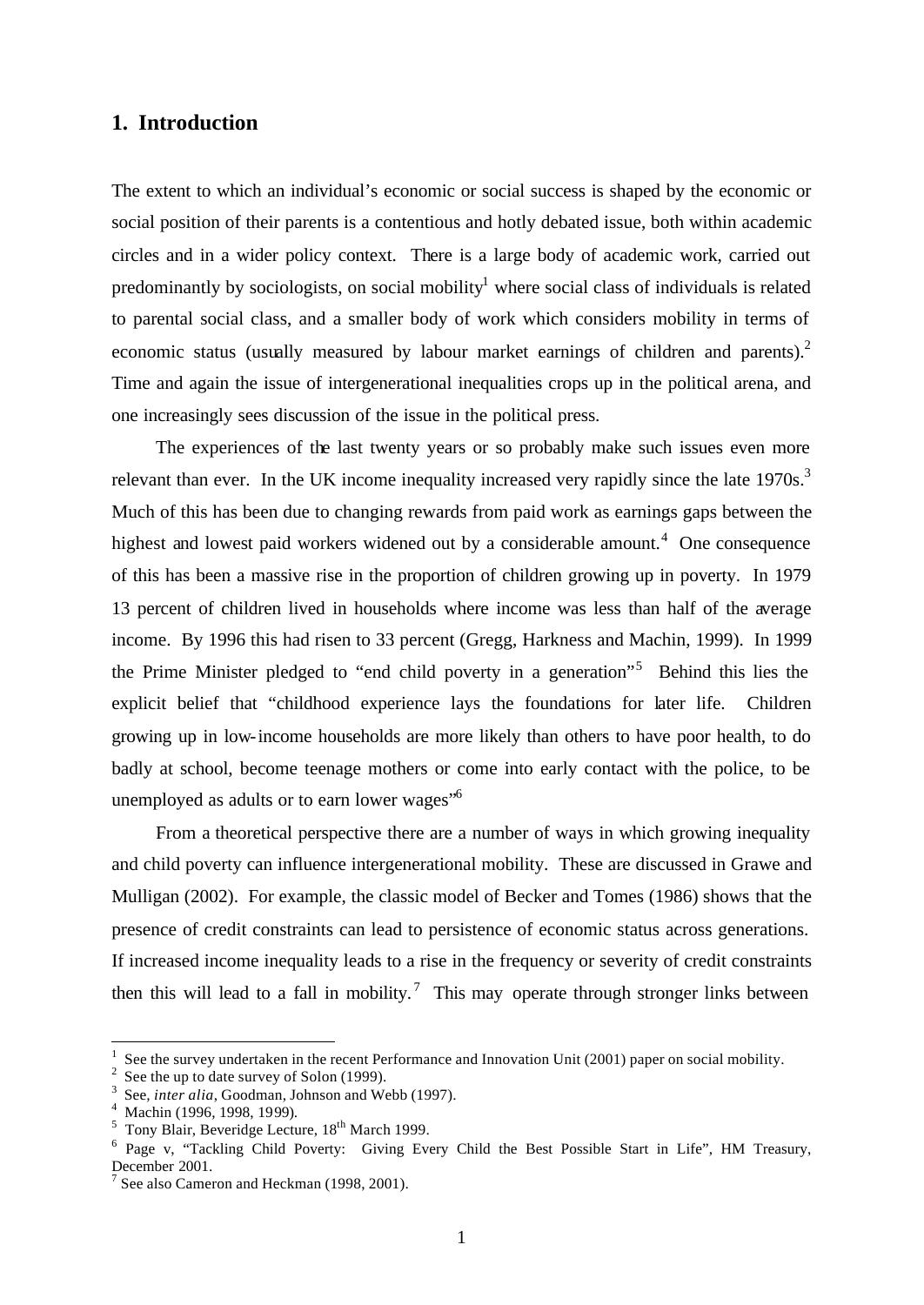# **1. Introduction**

The extent to which an individual's economic or social success is shaped by the economic or social position of their parents is a contentious and hotly debated issue, both within academic circles and in a wider policy context. There is a large body of academic work, carried out predominantly by sociologists, on social mobility<sup>1</sup> where social class of individuals is related to parental social class, and a smaller body of work which considers mobility in terms of economic status (usually measured by labour market earnings of children and parents). $2$ Time and again the issue of intergenerational inequalities crops up in the political arena, and one increasingly sees discussion of the issue in the political press.

The experiences of the last twenty years or so probably make such issues even more relevant than ever. In the UK income inequality increased very rapidly since the late  $1970s$ .<sup>3</sup> Much of this has been due to changing rewards from paid work as earnings gaps between the highest and lowest paid workers widened out by a considerable amount.<sup>4</sup> One consequence of this has been a massive rise in the proportion of children growing up in poverty. In 1979 13 percent of children lived in households where income was less than half of the average income. By 1996 this had risen to 33 percent (Gregg, Harkness and Machin, 1999). In 1999 the Prime Minister pledged to "end child poverty in a generation"<sup>5</sup> Behind this lies the explicit belief that "childhood experience lays the foundations for later life. Children growing up in low-income households are more likely than others to have poor health, to do badly at school, become teenage mothers or come into early contact with the police, to be unemployed as adults or to earn lower wages"<sup>6</sup>

From a theoretical perspective there are a number of ways in which growing inequality and child poverty can influence intergenerational mobility. These are discussed in Grawe and Mulligan (2002). For example, the classic model of Becker and Tomes (1986) shows that the presence of credit constraints can lead to persistence of economic status across generations. If increased income inequality leads to a rise in the frequency or severity of credit constraints then this will lead to a fall in mobility.<sup>7</sup> This may operate through stronger links between

l

<sup>1</sup> See the survey undertaken in the recent Performance and Innovation Unit (2001) paper on social mobility.

 $2^2$  See the up to date survey of Solon (1999).

<sup>&</sup>lt;sup>3</sup> See, *inter alia*, Goodman, Johnson and Webb (1997).

<sup>4</sup> Machin (1996, 1998, 1999).

 $<sup>5</sup>$  Tony Blair, Beveridge Lecture,  $18<sup>th</sup>$  March 1999.</sup>

<sup>&</sup>lt;sup>6</sup> Page v, "Tackling Child Poverty: Giving Every Child the Best Possible Start in Life", HM Treasury, December 2001.

<sup>&</sup>lt;sup>7</sup> See also Cameron and Heckman (1998, 2001).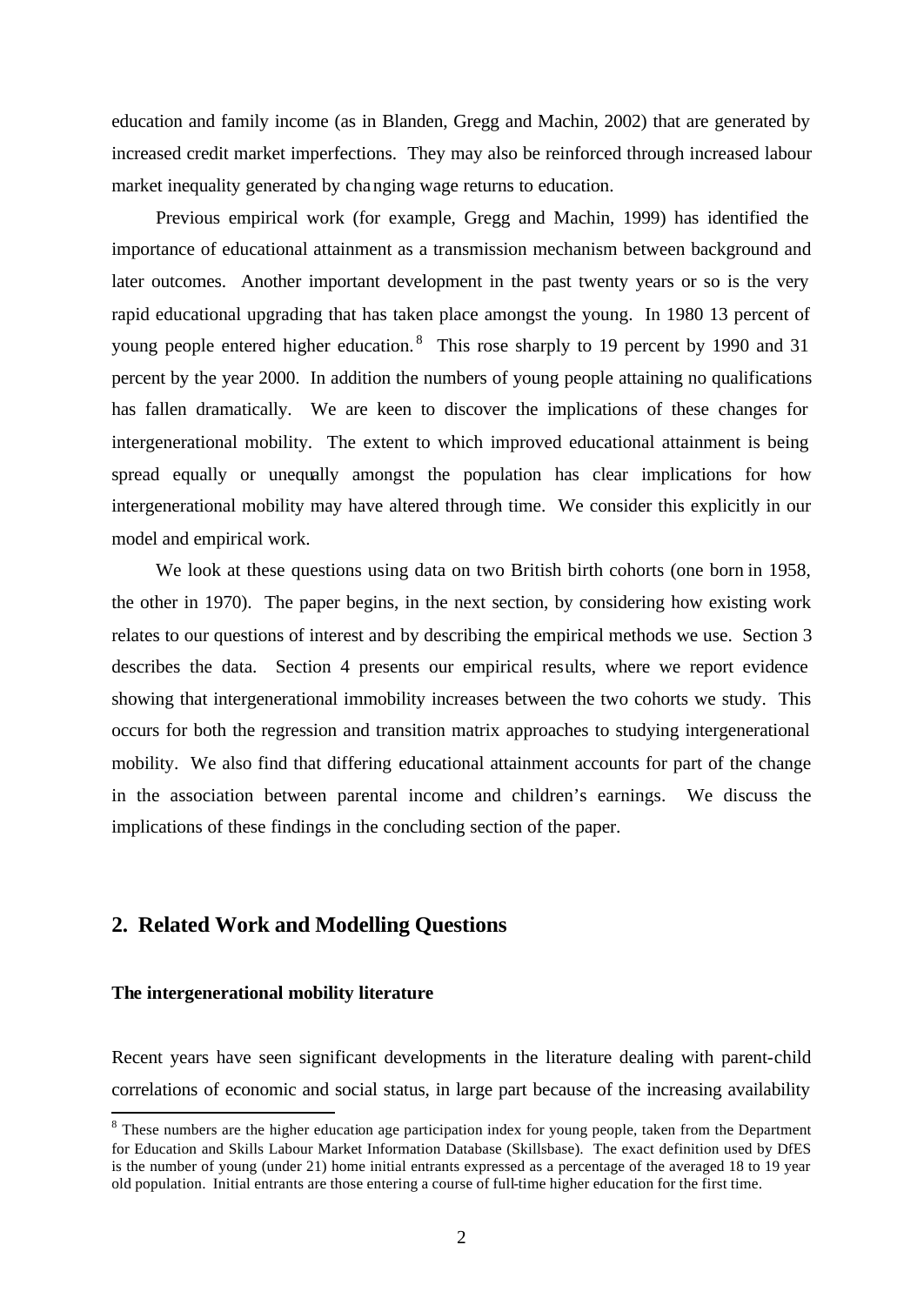education and family income (as in Blanden, Gregg and Machin, 2002) that are generated by increased credit market imperfections. They may also be reinforced through increased labour market inequality generated by changing wage returns to education.

Previous empirical work (for example, Gregg and Machin, 1999) has identified the importance of educational attainment as a transmission mechanism between background and later outcomes. Another important development in the past twenty years or so is the very rapid educational upgrading that has taken place amongst the young. In 1980 13 percent of young people entered higher education.  $8$  This rose sharply to 19 percent by 1990 and 31 percent by the year 2000. In addition the numbers of young people attaining no qualifications has fallen dramatically. We are keen to discover the implications of these changes for intergenerational mobility. The extent to which improved educational attainment is being spread equally or unequally amongst the population has clear implications for how intergenerational mobility may have altered through time. We consider this explicitly in our model and empirical work.

We look at these questions using data on two British birth cohorts (one born in 1958, the other in 1970). The paper begins, in the next section, by considering how existing work relates to our questions of interest and by describing the empirical methods we use. Section 3 describes the data. Section 4 presents our empirical results, where we report evidence showing that intergenerational immobility increases between the two cohorts we study. This occurs for both the regression and transition matrix approaches to studying intergenerational mobility. We also find that differing educational attainment accounts for part of the change in the association between parental income and children's earnings. We discuss the implications of these findings in the concluding section of the paper.

# **2. Related Work and Modelling Questions**

#### **The intergenerational mobility literature**

l

Recent years have seen significant developments in the literature dealing with parent-child correlations of economic and social status, in large part because of the increasing availability

 $8$  These numbers are the higher education age participation index for young people, taken from the Department for Education and Skills Labour Market Information Database (Skillsbase). The exact definition used by DfES is the number of young (under 21) home initial entrants expressed as a percentage of the averaged 18 to 19 year old population. Initial entrants are those entering a course of full-time higher education for the first time.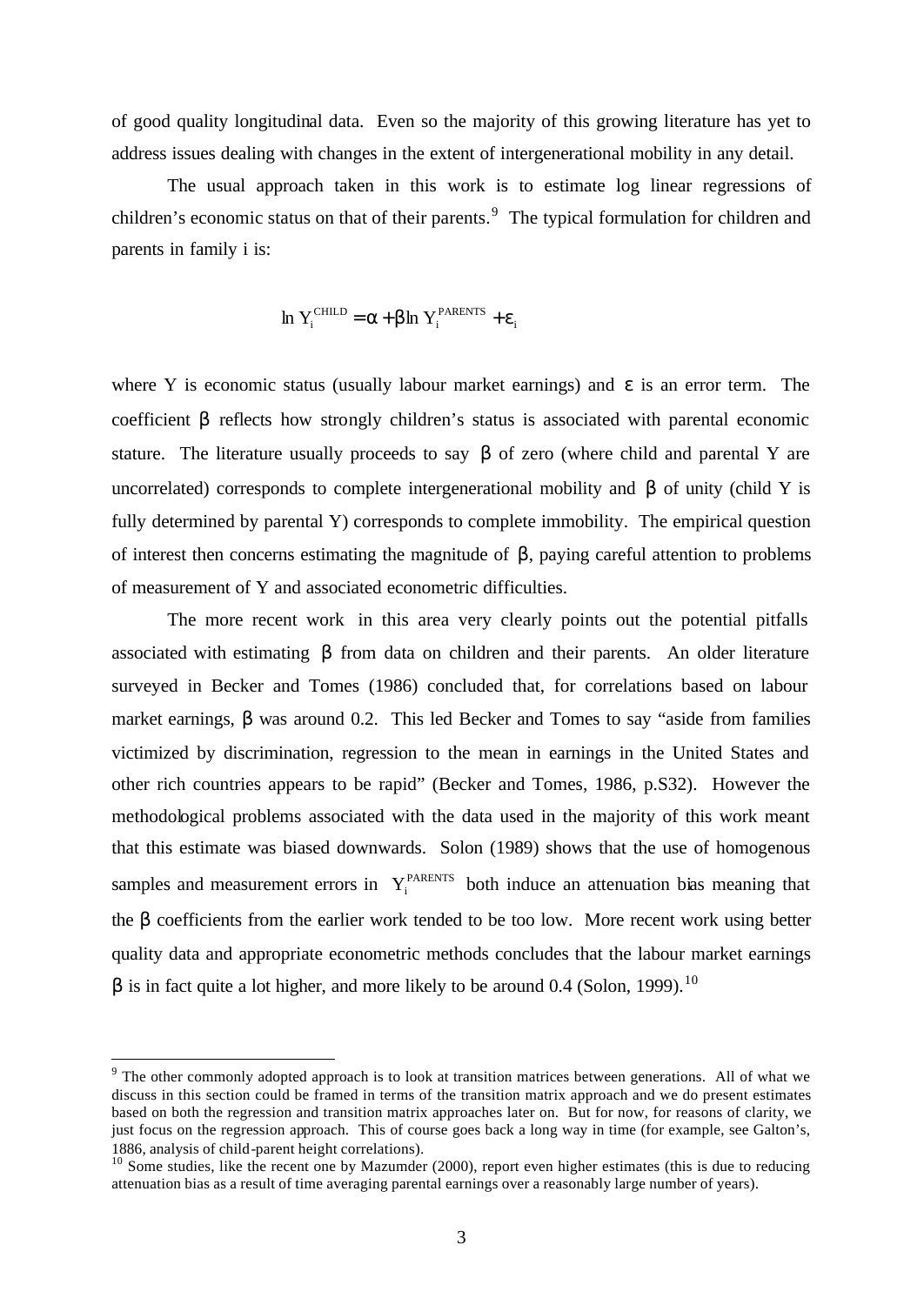of good quality longitudinal data. Even so the majority of this growing literature has yet to address issues dealing with changes in the extent of intergenerational mobility in any detail.

The usual approach taken in this work is to estimate log linear regressions of children's economic status on that of their parents.<sup>9</sup> The typical formulation for children and parents in family i is:

$$
\ln Y_i^{\text{CHILD}} = \alpha + \beta \ln Y_i^{\text{PARENTS}} + \varepsilon_i
$$

where Y is economic status (usually labour market earnings) and  $\varepsilon$  is an error term. The coefficient β reflects how strongly children's status is associated with parental economic stature. The literature usually proceeds to say  $\beta$  of zero (where child and parental Y are uncorrelated) corresponds to complete intergenerational mobility and β of unity (child Y is fully determined by parental Y) corresponds to complete immobility. The empirical question of interest then concerns estimating the magnitude of β, paying careful attention to problems of measurement of Y and associated econometric difficulties.

The more recent work in this area very clearly points out the potential pitfalls associated with estimating β from data on children and their parents. An older literature surveyed in Becker and Tomes (1986) concluded that, for correlations based on labour market earnings, β was around 0.2. This led Becker and Tomes to say "aside from families victimized by discrimination, regression to the mean in earnings in the United States and other rich countries appears to be rapid" (Becker and Tomes, 1986, p.S32). However the methodological problems associated with the data used in the majority of this work meant that this estimate was biased downwards. Solon (1989) shows that the use of homogenous samples and measurement errors in  $Y_i^{PARENTS}$  both induce an attenuation bias meaning that the β coefficients from the earlier work tended to be too low. More recent work using better quality data and appropriate econometric methods concludes that the labour market earnings  $β$  is in fact quite a lot higher, and more likely to be around 0.4 (Solon, 1999).<sup>10</sup>

l

<sup>&</sup>lt;sup>9</sup> The other commonly adopted approach is to look at transition matrices between generations. All of what we discuss in this section could be framed in terms of the transition matrix approach and we do present estimates based on both the regression and transition matrix approaches later on. But for now, for reasons of clarity, we just focus on the regression approach. This of course goes back a long way in time (for example, see Galton's, 1886, analysis of child-parent height correlations).

<sup>&</sup>lt;sup>10</sup> Some studies, like the recent one by Mazumder (2000), report even higher estimates (this is due to reducing attenuation bias as a result of time averaging parental earnings over a reasonably large number of years).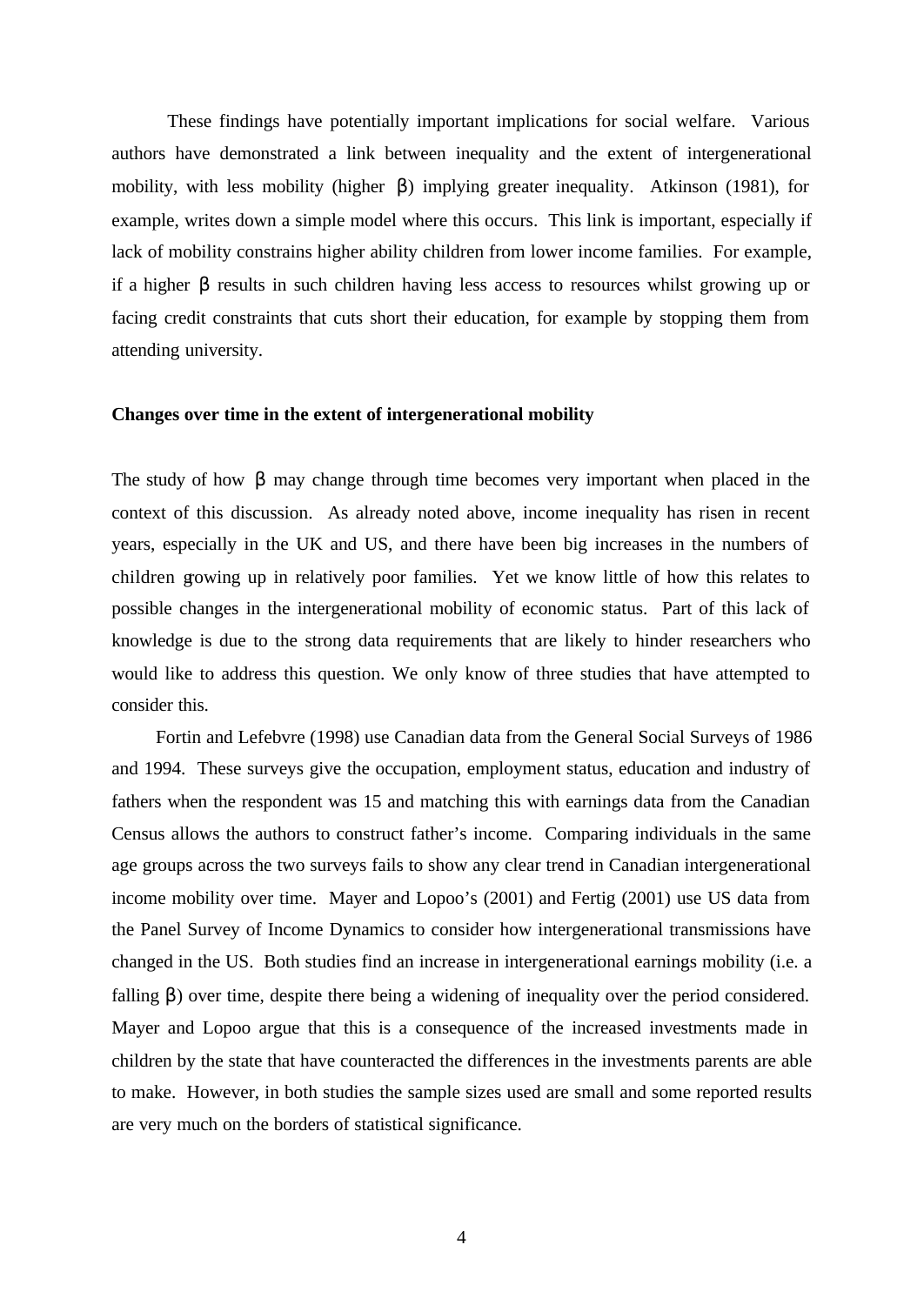These findings have potentially important implications for social welfare. Various authors have demonstrated a link between inequality and the extent of intergenerational mobility, with less mobility (higher β) implying greater inequality. Atkinson (1981), for example, writes down a simple model where this occurs. This link is important, especially if lack of mobility constrains higher ability children from lower income families. For example, if a higher β results in such children having less access to resources whilst growing up or facing credit constraints that cuts short their education, for example by stopping them from attending university.

#### **Changes over time in the extent of intergenerational mobility**

The study of how  $\beta$  may change through time becomes very important when placed in the context of this discussion. As already noted above, income inequality has risen in recent years, especially in the UK and US, and there have been big increases in the numbers of children growing up in relatively poor families. Yet we know little of how this relates to possible changes in the intergenerational mobility of economic status. Part of this lack of knowledge is due to the strong data requirements that are likely to hinder researchers who would like to address this question. We only know of three studies that have attempted to consider this.

Fortin and Lefebvre (1998) use Canadian data from the General Social Surveys of 1986 and 1994. These surveys give the occupation, employment status, education and industry of fathers when the respondent was 15 and matching this with earnings data from the Canadian Census allows the authors to construct father's income. Comparing individuals in the same age groups across the two surveys fails to show any clear trend in Canadian intergenerational income mobility over time. Mayer and Lopoo's (2001) and Fertig (2001) use US data from the Panel Survey of Income Dynamics to consider how intergenerational transmissions have changed in the US. Both studies find an increase in intergenerational earnings mobility (i.e. a falling β) over time, despite there being a widening of inequality over the period considered. Mayer and Lopoo argue that this is a consequence of the increased investments made in children by the state that have counteracted the differences in the investments parents are able to make. However, in both studies the sample sizes used are small and some reported results are very much on the borders of statistical significance.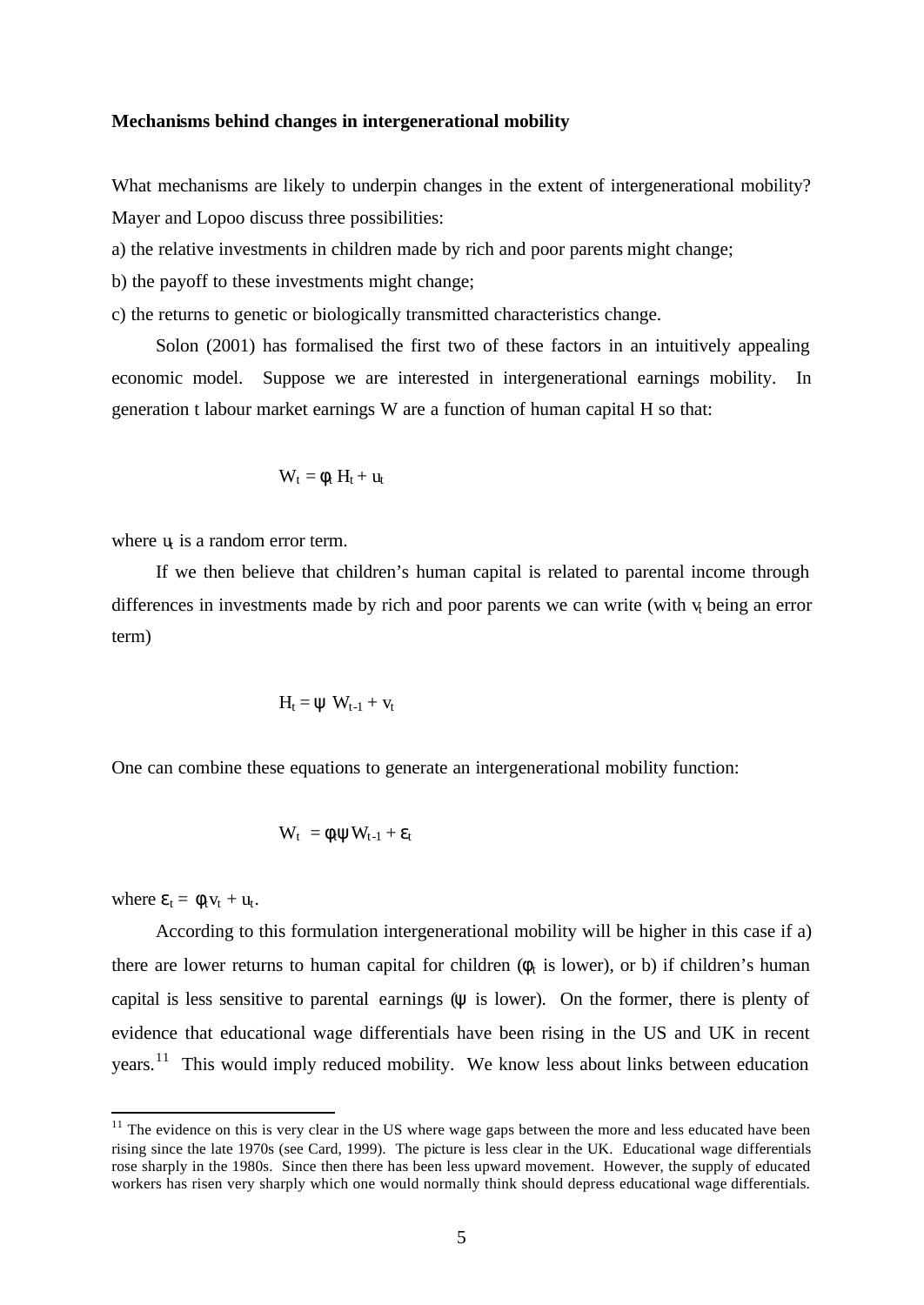#### **Mechanisms behind changes in intergenerational mobility**

What mechanisms are likely to underpin changes in the extent of intergenerational mobility? Mayer and Lopoo discuss three possibilities:

a) the relative investments in children made by rich and poor parents might change;

b) the payoff to these investments might change;

c) the returns to genetic or biologically transmitted characteristics change.

Solon (2001) has formalised the first two of these factors in an intuitively appealing economic model. Suppose we are interested in intergenerational earnings mobility. In generation t labour market earnings W are a function of human capital H so that:

$$
W_t = \varphi_t \ H_t + u_t
$$

where  $u_i$  is a random error term.

If we then believe that children's human capital is related to parental income through differences in investments made by rich and poor parents we can write (with  $v_t$  being an error term)

$$
H_t = \psi \ W_{t-1} + v_t
$$

One can combine these equations to generate an intergenerational mobility function:

$$
W_t\ = \varphi_t \psi W_{t\text{-}1} + \epsilon_t
$$

where  $\varepsilon_t = \phi_t v_t + u_t$ .

l

According to this formulation intergenerational mobility will be higher in this case if a) there are lower returns to human capital for children ( $\phi_t$  is lower), or b) if children's human capital is less sensitive to parental earnings  $(\psi)$  is lower). On the former, there is plenty of evidence that educational wage differentials have been rising in the US and UK in recent years.<sup>11</sup> This would imply reduced mobility. We know less about links between education

 $11$  The evidence on this is very clear in the US where wage gaps between the more and less educated have been rising since the late 1970s (see Card, 1999). The picture is less clear in the UK. Educational wage differentials rose sharply in the 1980s. Since then there has been less upward movement. However, the supply of educated workers has risen very sharply which one would normally think should depress educational wage differentials.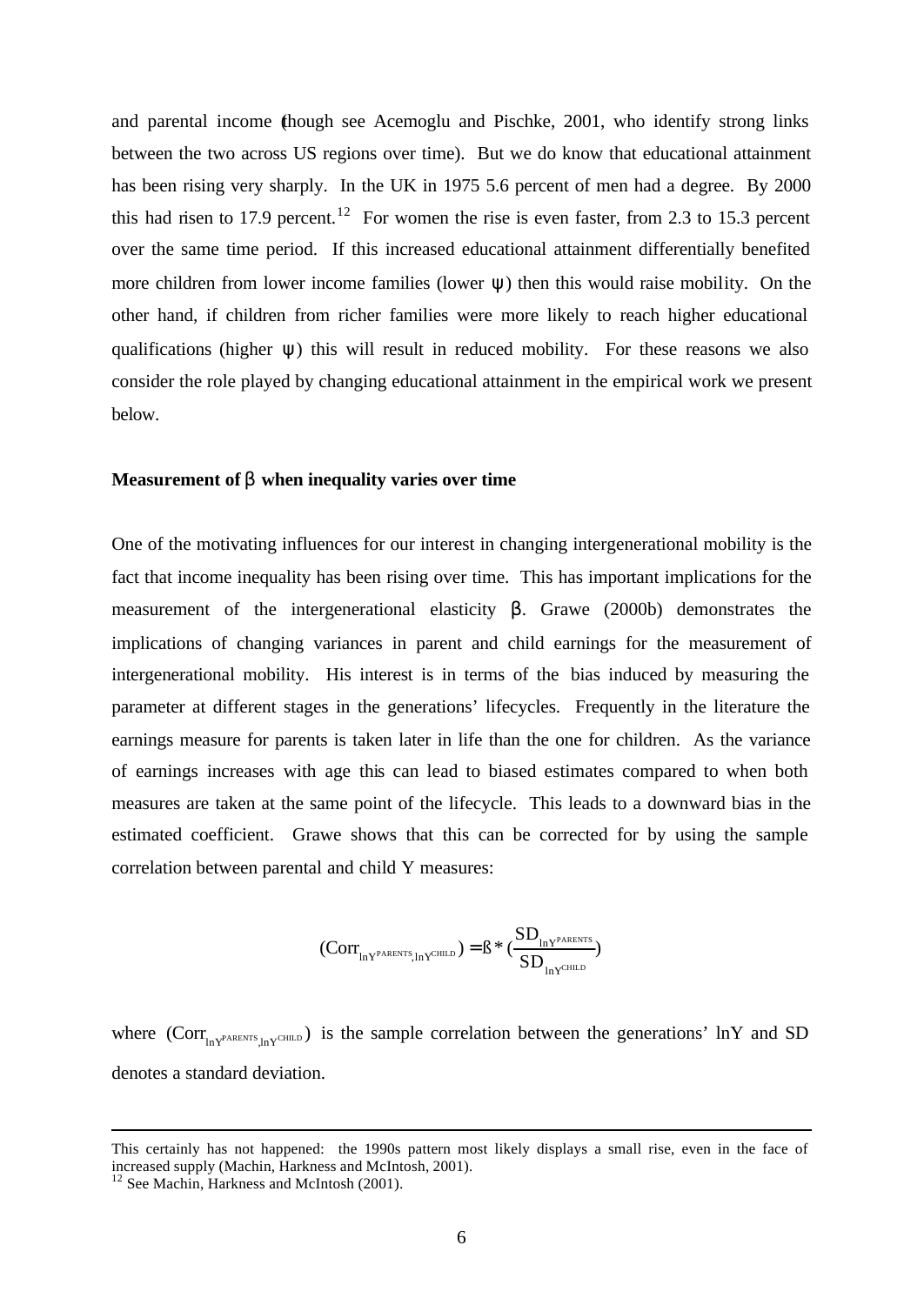and parental income (though see Acemoglu and Pischke, 2001, who identify strong links between the two across US regions over time). But we do know that educational attainment has been rising very sharply. In the UK in 1975 5.6 percent of men had a degree. By 2000 this had risen to 17.9 percent.<sup>12</sup> For women the rise is even faster, from 2.3 to 15.3 percent over the same time period. If this increased educational attainment differentially benefited more children from lower income families (lower  $\psi$ ) then this would raise mobility. On the other hand, if children from richer families were more likely to reach higher educational qualifications (higher ψ) this will result in reduced mobility. For these reasons we also consider the role played by changing educational attainment in the empirical work we present below.

#### **Measurement of b when inequality varies over time**

One of the motivating influences for our interest in changing intergenerational mobility is the fact that income inequality has been rising over time. This has important implications for the measurement of the intergenerational elasticity β. Grawe (2000b) demonstrates the implications of changing variances in parent and child earnings for the measurement of intergenerational mobility. His interest is in terms of the bias induced by measuring the parameter at different stages in the generations' lifecycles. Frequently in the literature the earnings measure for parents is taken later in life than the one for children. As the variance of earnings increases with age this can lead to biased estimates compared to when both measures are taken at the same point of the lifecycle. This leads to a downward bias in the estimated coefficient. Grawe shows that this can be corrected for by using the sample correlation between parental and child Y measures:

$$
(Corr_{_{ln Y^{PARENTS},ln Y^{CHILD}}}) = \beta * (\frac{SD_{_{ln Y^{PARENTS}}}}{SD_{_{ln Y^{CHILD}}}})
$$

where  $(Corr_{lnY^{PARENTS},lnY^CHTML})$  is the sample correlation between the generations' lnY and SD denotes a standard deviation.

l

This certainly has not happened: the 1990s pattern most likely displays a small rise, even in the face of increased supply (Machin, Harkness and McIntosh, 2001).

<sup>&</sup>lt;sup>12</sup> See Machin, Harkness and McIntosh (2001).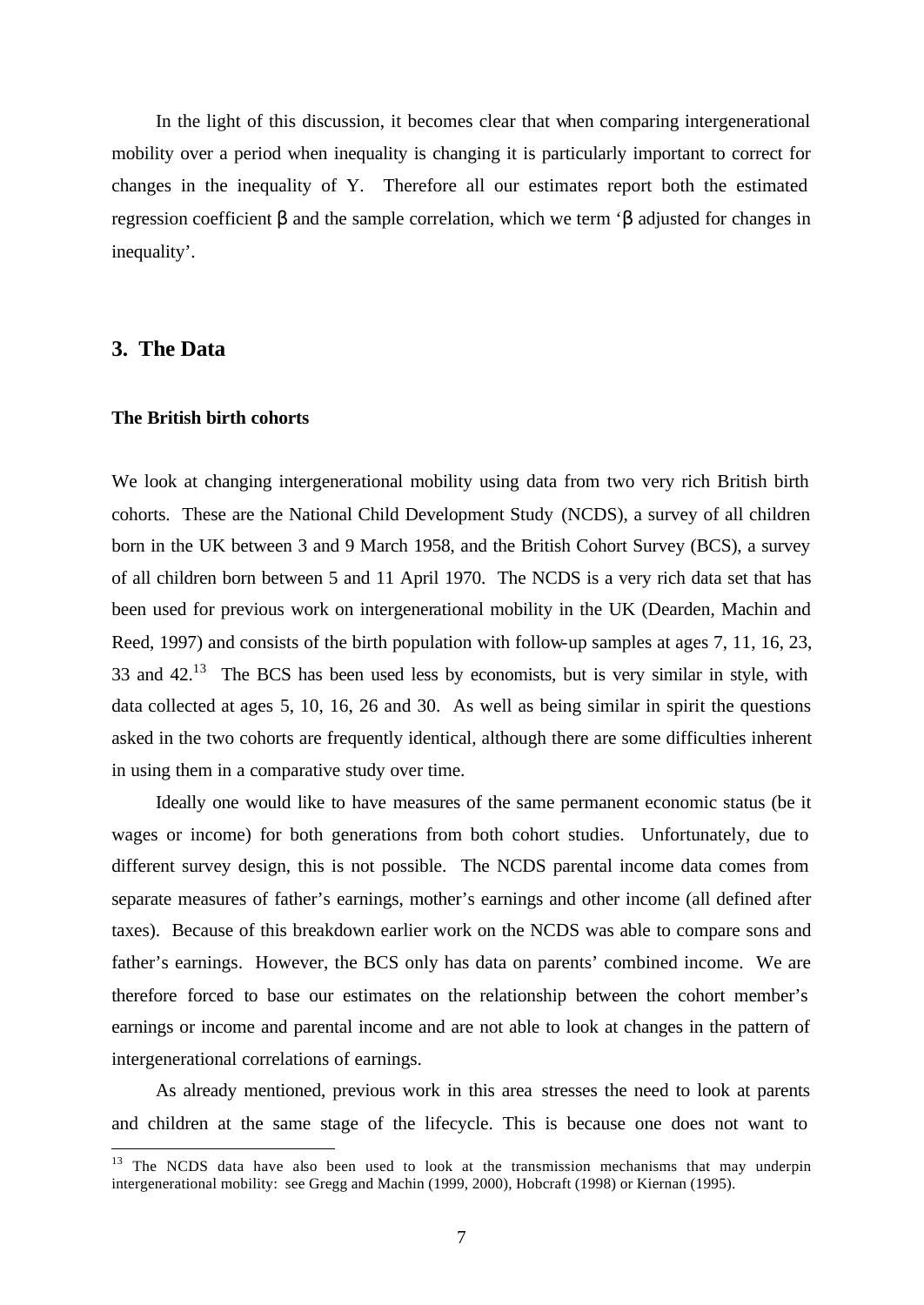In the light of this discussion, it becomes clear that when comparing intergenerational mobility over a period when inequality is changing it is particularly important to correct for changes in the inequality of Y. Therefore all our estimates report both the estimated regression coefficient β and the sample correlation, which we term 'β adjusted for changes in inequality'.

## **3. The Data**

l

#### **The British birth cohorts**

We look at changing intergenerational mobility using data from two very rich British birth cohorts. These are the National Child Development Study (NCDS), a survey of all children born in the UK between 3 and 9 March 1958, and the British Cohort Survey (BCS), a survey of all children born between 5 and 11 April 1970. The NCDS is a very rich data set that has been used for previous work on intergenerational mobility in the UK (Dearden, Machin and Reed, 1997) and consists of the birth population with follow-up samples at ages 7, 11, 16, 23, 33 and  $42<sup>13</sup>$  The BCS has been used less by economists, but is very similar in style, with data collected at ages 5, 10, 16, 26 and 30. As well as being similar in spirit the questions asked in the two cohorts are frequently identical, although there are some difficulties inherent in using them in a comparative study over time.

Ideally one would like to have measures of the same permanent economic status (be it wages or income) for both generations from both cohort studies. Unfortunately, due to different survey design, this is not possible. The NCDS parental income data comes from separate measures of father's earnings, mother's earnings and other income (all defined after taxes). Because of this breakdown earlier work on the NCDS was able to compare sons and father's earnings. However, the BCS only has data on parents' combined income. We are therefore forced to base our estimates on the relationship between the cohort member's earnings or income and parental income and are not able to look at changes in the pattern of intergenerational correlations of earnings.

As already mentioned, previous work in this area stresses the need to look at parents and children at the same stage of the lifecycle. This is because one does not want to

 $13$  The NCDS data have also been used to look at the transmission mechanisms that may underpin intergenerational mobility: see Gregg and Machin (1999, 2000), Hobcraft (1998) or Kiernan (1995).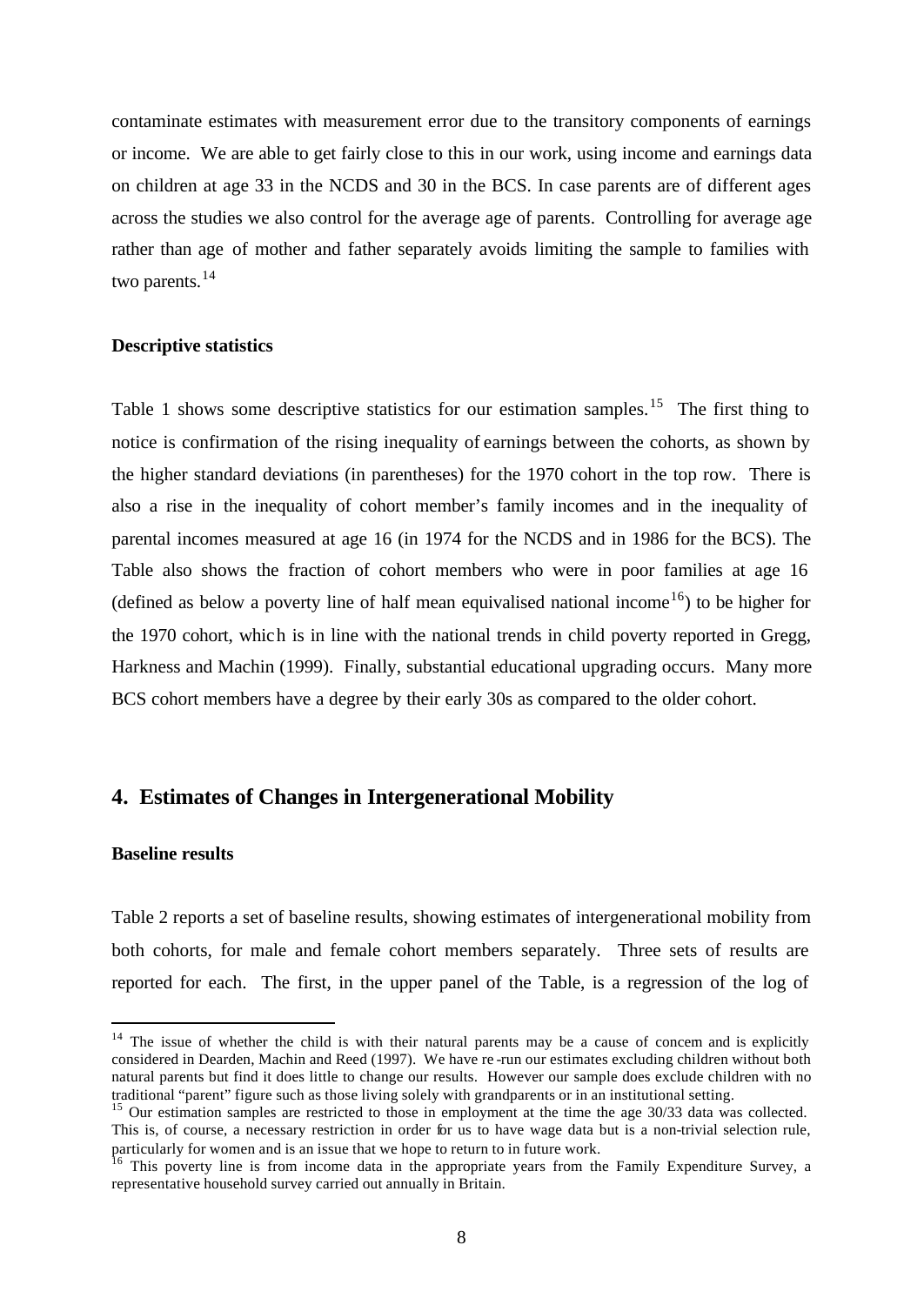contaminate estimates with measurement error due to the transitory components of earnings or income. We are able to get fairly close to this in our work, using income and earnings data on children at age 33 in the NCDS and 30 in the BCS. In case parents are of different ages across the studies we also control for the average age of parents. Controlling for average age rather than age of mother and father separately avoids limiting the sample to families with two parents.<sup>14</sup>

#### **Descriptive statistics**

Table 1 shows some descriptive statistics for our estimation samples.<sup>15</sup> The first thing to notice is confirmation of the rising inequality of earnings between the cohorts, as shown by the higher standard deviations (in parentheses) for the 1970 cohort in the top row. There is also a rise in the inequality of cohort member's family incomes and in the inequality of parental incomes measured at age 16 (in 1974 for the NCDS and in 1986 for the BCS). The Table also shows the fraction of cohort members who were in poor families at age 16 (defined as below a poverty line of half mean equivalised national income<sup>16</sup>) to be higher for the 1970 cohort, which is in line with the national trends in child poverty reported in Gregg, Harkness and Machin (1999). Finally, substantial educational upgrading occurs. Many more BCS cohort members have a degree by their early 30s as compared to the older cohort.

### **4. Estimates of Changes in Intergenerational Mobility**

#### **Baseline results**

l

Table 2 reports a set of baseline results, showing estimates of intergenerational mobility from both cohorts, for male and female cohort members separately. Three sets of results are reported for each. The first, in the upper panel of the Table, is a regression of the log of

<sup>&</sup>lt;sup>14</sup> The issue of whether the child is with their natural parents may be a cause of concern and is explicitly considered in Dearden, Machin and Reed (1997). We have re -run our estimates excluding children without both natural parents but find it does little to change our results. However our sample does exclude children with no traditional "parent" figure such as those living solely with grandparents or in an institutional setting.

<sup>&</sup>lt;sup>15</sup> Our estimation samples are restricted to those in employment at the time the age 30/33 data was collected. This is, of course, a necessary restriction in order for us to have wage data but is a non-trivial selection rule, particularly for women and is an issue that we hope to return to in future work.

<sup>&</sup>lt;sup>16</sup> This poverty line is from income data in the appropriate years from the Family Expenditure Survey, a representative household survey carried out annually in Britain.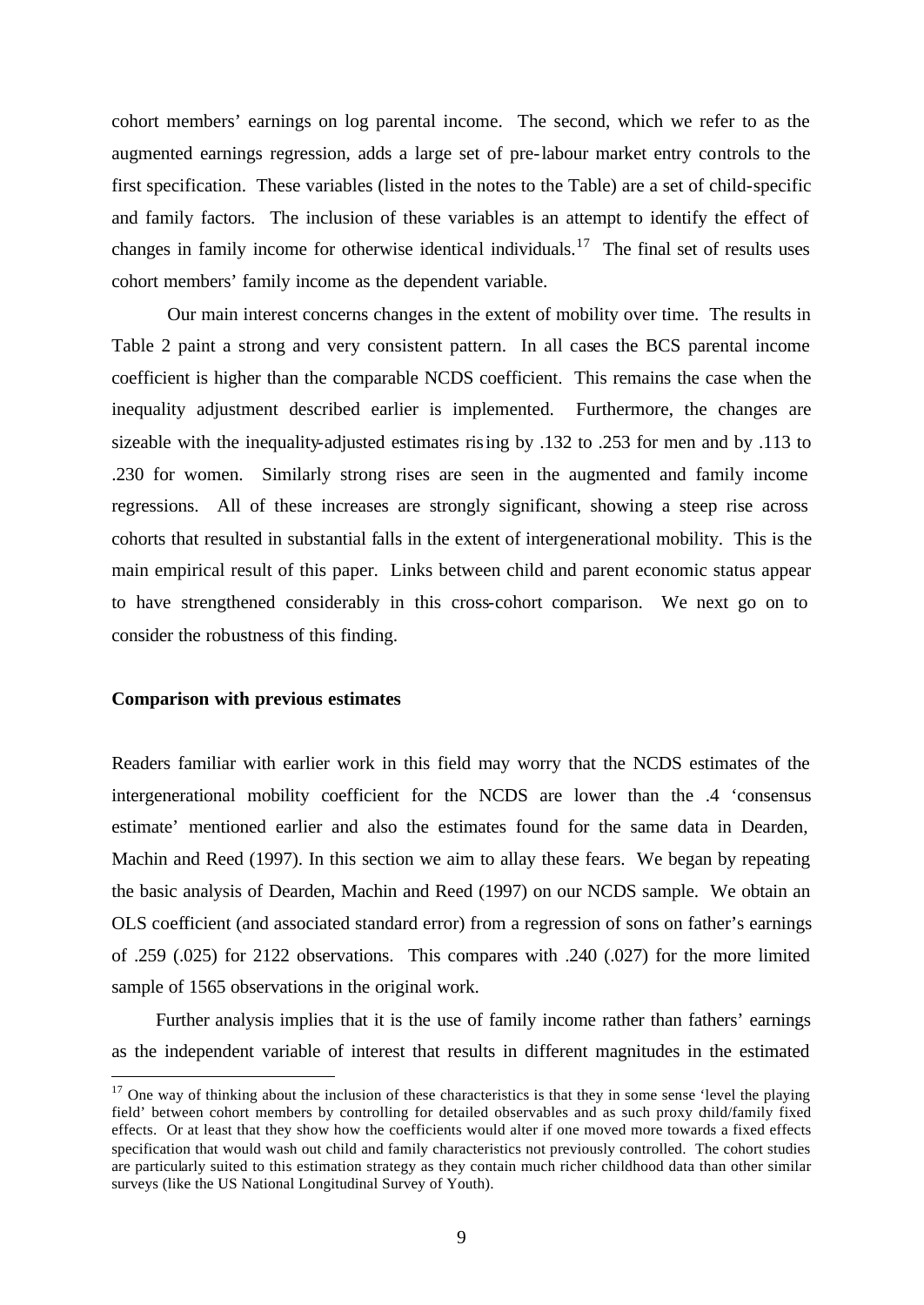cohort members' earnings on log parental income. The second, which we refer to as the augmented earnings regression, adds a large set of pre-labour market entry controls to the first specification. These variables (listed in the notes to the Table) are a set of child-specific and family factors. The inclusion of these variables is an attempt to identify the effect of changes in family income for otherwise identical individuals.<sup>17</sup> The final set of results uses cohort members' family income as the dependent variable.

Our main interest concerns changes in the extent of mobility over time. The results in Table 2 paint a strong and very consistent pattern. In all cases the BCS parental income coefficient is higher than the comparable NCDS coefficient. This remains the case when the inequality adjustment described earlier is implemented. Furthermore, the changes are sizeable with the inequality-adjusted estimates rising by .132 to .253 for men and by .113 to .230 for women. Similarly strong rises are seen in the augmented and family income regressions. All of these increases are strongly significant, showing a steep rise across cohorts that resulted in substantial falls in the extent of intergenerational mobility. This is the main empirical result of this paper. Links between child and parent economic status appear to have strengthened considerably in this cross-cohort comparison. We next go on to consider the robustness of this finding.

#### **Comparison with previous estimates**

l

Readers familiar with earlier work in this field may worry that the NCDS estimates of the intergenerational mobility coefficient for the NCDS are lower than the .4 'consensus estimate' mentioned earlier and also the estimates found for the same data in Dearden, Machin and Reed (1997). In this section we aim to allay these fears. We began by repeating the basic analysis of Dearden, Machin and Reed (1997) on our NCDS sample. We obtain an OLS coefficient (and associated standard error) from a regression of sons on father's earnings of .259 (.025) for 2122 observations. This compares with .240 (.027) for the more limited sample of 1565 observations in the original work.

Further analysis implies that it is the use of family income rather than fathers' earnings as the independent variable of interest that results in different magnitudes in the estimated

 $17$  One way of thinking about the inclusion of these characteristics is that they in some sense 'level the playing field' between cohort members by controlling for detailed observables and as such proxy child/family fixed effects. Or at least that they show how the coefficients would alter if one moved more towards a fixed effects specification that would wash out child and family characteristics not previously controlled. The cohort studies are particularly suited to this estimation strategy as they contain much richer childhood data than other similar surveys (like the US National Longitudinal Survey of Youth).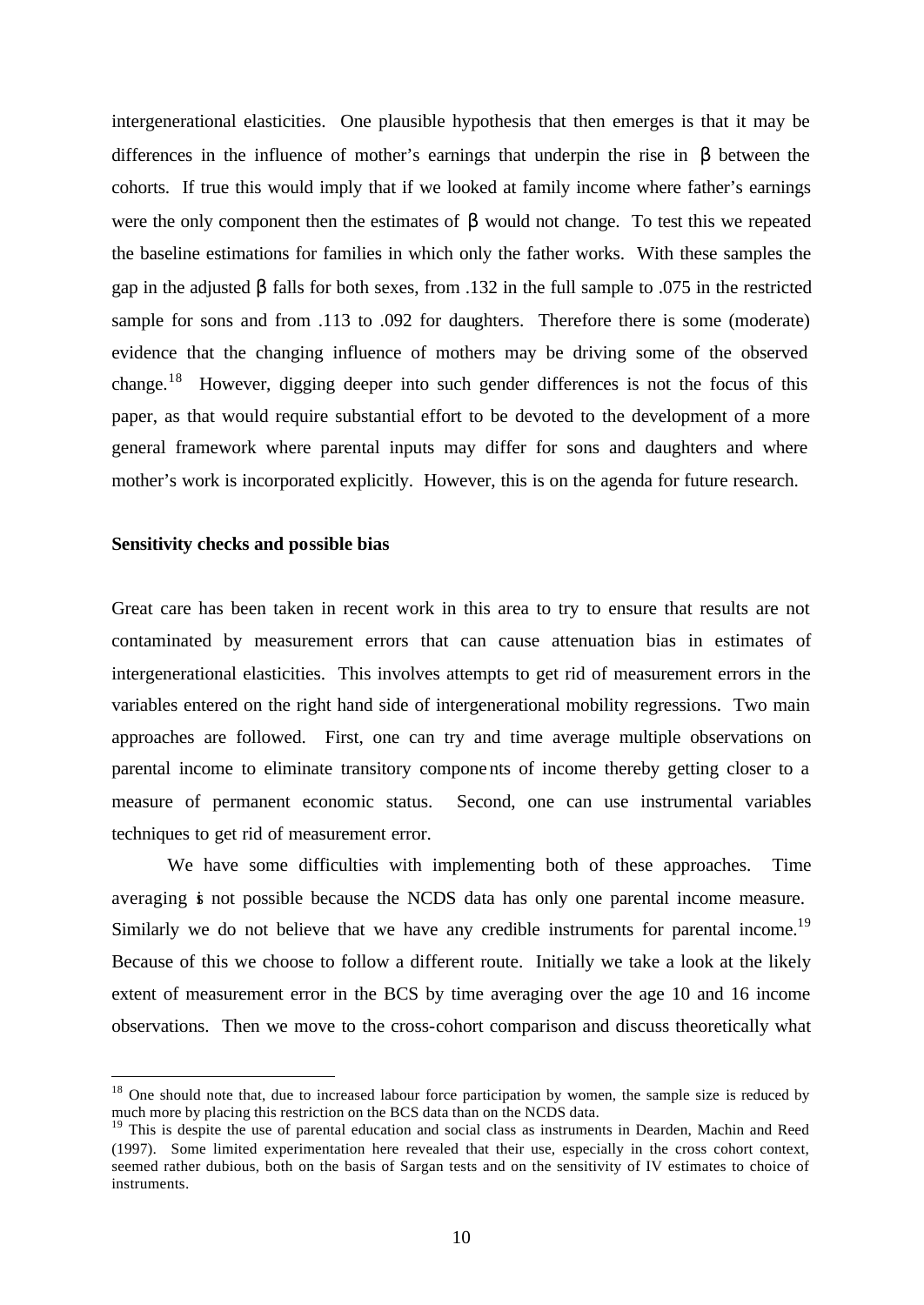intergenerational elasticities. One plausible hypothesis that then emerges is that it may be differences in the influence of mother's earnings that underpin the rise in β between the cohorts. If true this would imply that if we looked at family income where father's earnings were the only component then the estimates of  $\beta$  would not change. To test this we repeated the baseline estimations for families in which only the father works. With these samples the gap in the adjusted β falls for both sexes, from .132 in the full sample to .075 in the restricted sample for sons and from .113 to .092 for daughters. Therefore there is some (moderate) evidence that the changing influence of mothers may be driving some of the observed change.<sup>18</sup> However, digging deeper into such gender differences is not the focus of this paper, as that would require substantial effort to be devoted to the development of a more general framework where parental inputs may differ for sons and daughters and where mother's work is incorporated explicitly. However, this is on the agenda for future research.

#### **Sensitivity checks and possible bias**

l

Great care has been taken in recent work in this area to try to ensure that results are not contaminated by measurement errors that can cause attenuation bias in estimates of intergenerational elasticities. This involves attempts to get rid of measurement errors in the variables entered on the right hand side of intergenerational mobility regressions. Two main approaches are followed. First, one can try and time average multiple observations on parental income to eliminate transitory components of income thereby getting closer to a measure of permanent economic status. Second, one can use instrumental variables techniques to get rid of measurement error.

We have some difficulties with implementing both of these approaches. Time averaging is not possible because the NCDS data has only one parental income measure. Similarly we do not believe that we have any credible instruments for parental income.<sup>19</sup> Because of this we choose to follow a different route. Initially we take a look at the likely extent of measurement error in the BCS by time averaging over the age 10 and 16 income observations. Then we move to the cross-cohort comparison and discuss theoretically what

<sup>&</sup>lt;sup>18</sup> One should note that, due to increased labour force participation by women, the sample size is reduced by much more by placing this restriction on the BCS data than on the NCDS data.

<sup>&</sup>lt;sup>19</sup> This is despite the use of parental education and social class as instruments in Dearden, Machin and Reed (1997). Some limited experimentation here revealed that their use, especially in the cross cohort context, seemed rather dubious, both on the basis of Sargan tests and on the sensitivity of IV estimates to choice of instruments.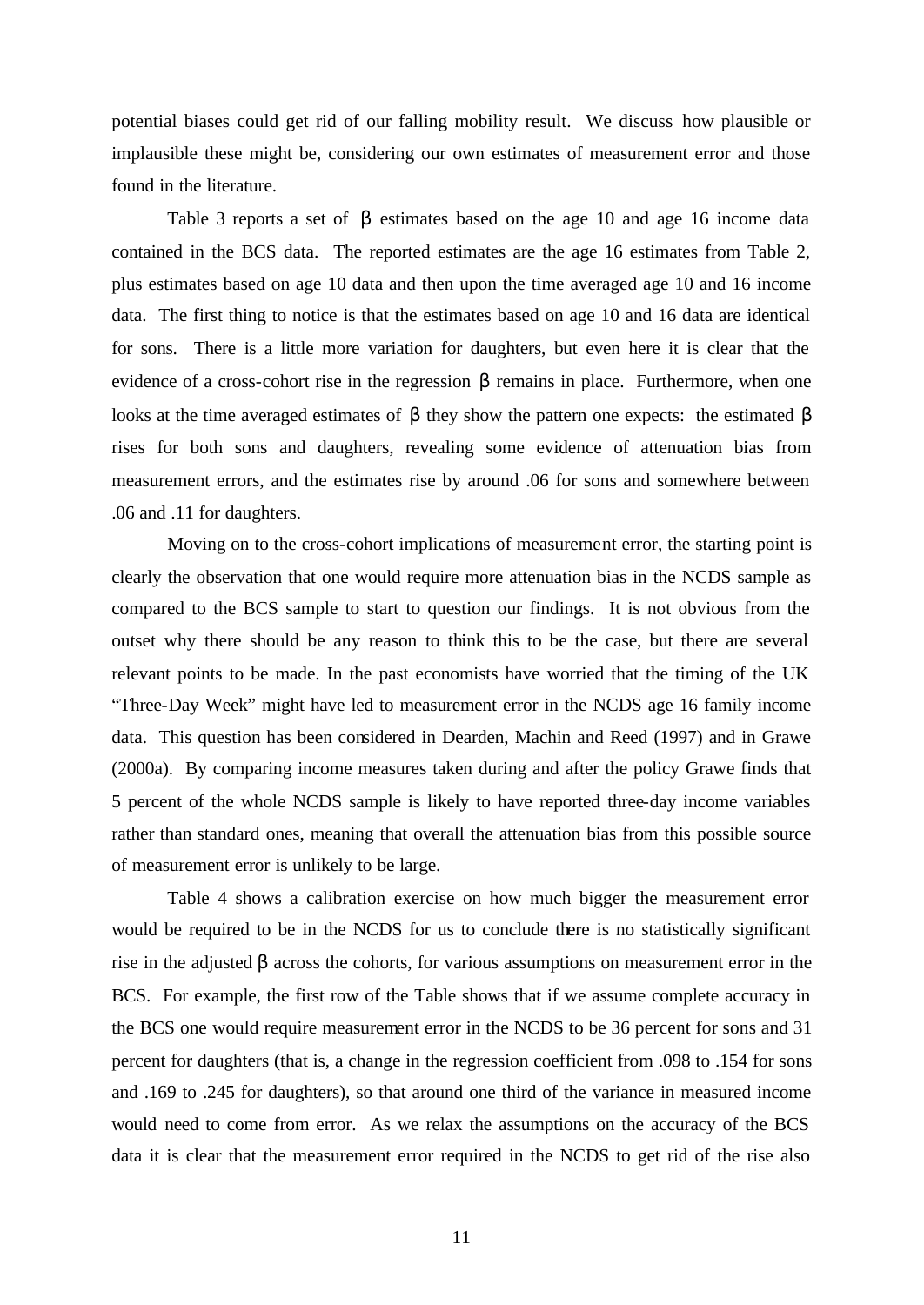potential biases could get rid of our falling mobility result. We discuss how plausible or implausible these might be, considering our own estimates of measurement error and those found in the literature.

Table 3 reports a set of  $\beta$  estimates based on the age 10 and age 16 income data contained in the BCS data. The reported estimates are the age 16 estimates from Table 2, plus estimates based on age 10 data and then upon the time averaged age 10 and 16 income data. The first thing to notice is that the estimates based on age 10 and 16 data are identical for sons. There is a little more variation for daughters, but even here it is clear that the evidence of a cross-cohort rise in the regression  $\beta$  remains in place. Furthermore, when one looks at the time averaged estimates of β they show the pattern one expects: the estimated β rises for both sons and daughters, revealing some evidence of attenuation bias from measurement errors, and the estimates rise by around .06 for sons and somewhere between .06 and .11 for daughters.

Moving on to the cross-cohort implications of measurement error, the starting point is clearly the observation that one would require more attenuation bias in the NCDS sample as compared to the BCS sample to start to question our findings. It is not obvious from the outset why there should be any reason to think this to be the case, but there are several relevant points to be made. In the past economists have worried that the timing of the UK "Three-Day Week" might have led to measurement error in the NCDS age 16 family income data. This question has been considered in Dearden, Machin and Reed (1997) and in Grawe (2000a). By comparing income measures taken during and after the policy Grawe finds that 5 percent of the whole NCDS sample is likely to have reported three-day income variables rather than standard ones, meaning that overall the attenuation bias from this possible source of measurement error is unlikely to be large.

Table 4 shows a calibration exercise on how much bigger the measurement error would be required to be in the NCDS for us to conclude there is no statistically significant rise in the adjusted β across the cohorts, for various assumptions on measurement error in the BCS. For example, the first row of the Table shows that if we assume complete accuracy in the BCS one would require measurement error in the NCDS to be 36 percent for sons and 31 percent for daughters (that is, a change in the regression coefficient from .098 to .154 for sons and .169 to .245 for daughters), so that around one third of the variance in measured income would need to come from error. As we relax the assumptions on the accuracy of the BCS data it is clear that the measurement error required in the NCDS to get rid of the rise also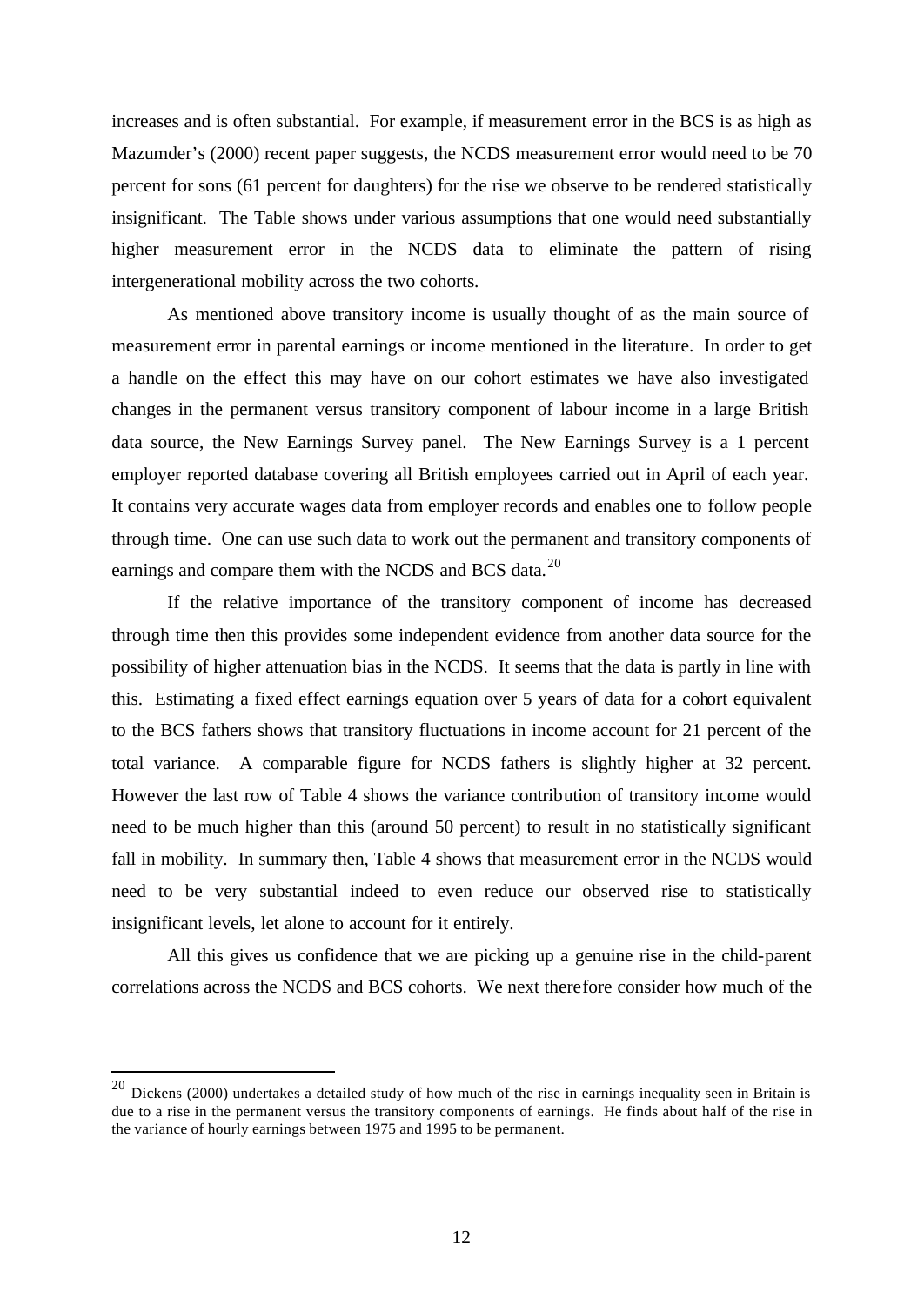increases and is often substantial. For example, if measurement error in the BCS is as high as Mazumder's (2000) recent paper suggests, the NCDS measurement error would need to be 70 percent for sons (61 percent for daughters) for the rise we observe to be rendered statistically insignificant. The Table shows under various assumptions that one would need substantially higher measurement error in the NCDS data to eliminate the pattern of rising intergenerational mobility across the two cohorts.

As mentioned above transitory income is usually thought of as the main source of measurement error in parental earnings or income mentioned in the literature. In order to get a handle on the effect this may have on our cohort estimates we have also investigated changes in the permanent versus transitory component of labour income in a large British data source, the New Earnings Survey panel. The New Earnings Survey is a 1 percent employer reported database covering all British employees carried out in April of each year. It contains very accurate wages data from employer records and enables one to follow people through time. One can use such data to work out the permanent and transitory components of earnings and compare them with the NCDS and BCS data.<sup>20</sup>

If the relative importance of the transitory component of income has decreased through time then this provides some independent evidence from another data source for the possibility of higher attenuation bias in the NCDS. It seems that the data is partly in line with this. Estimating a fixed effect earnings equation over 5 years of data for a cohort equivalent to the BCS fathers shows that transitory fluctuations in income account for 21 percent of the total variance. A comparable figure for NCDS fathers is slightly higher at 32 percent. However the last row of Table 4 shows the variance contribution of transitory income would need to be much higher than this (around 50 percent) to result in no statistically significant fall in mobility. In summary then, Table 4 shows that measurement error in the NCDS would need to be very substantial indeed to even reduce our observed rise to statistically insignificant levels, let alone to account for it entirely.

All this gives us confidence that we are picking up a genuine rise in the child-parent correlations across the NCDS and BCS cohorts. We next therefore consider how much of the

l

 $^{20}$  Dickens (2000) undertakes a detailed study of how much of the rise in earnings inequality seen in Britain is due to a rise in the permanent versus the transitory components of earnings. He finds about half of the rise in the variance of hourly earnings between 1975 and 1995 to be permanent.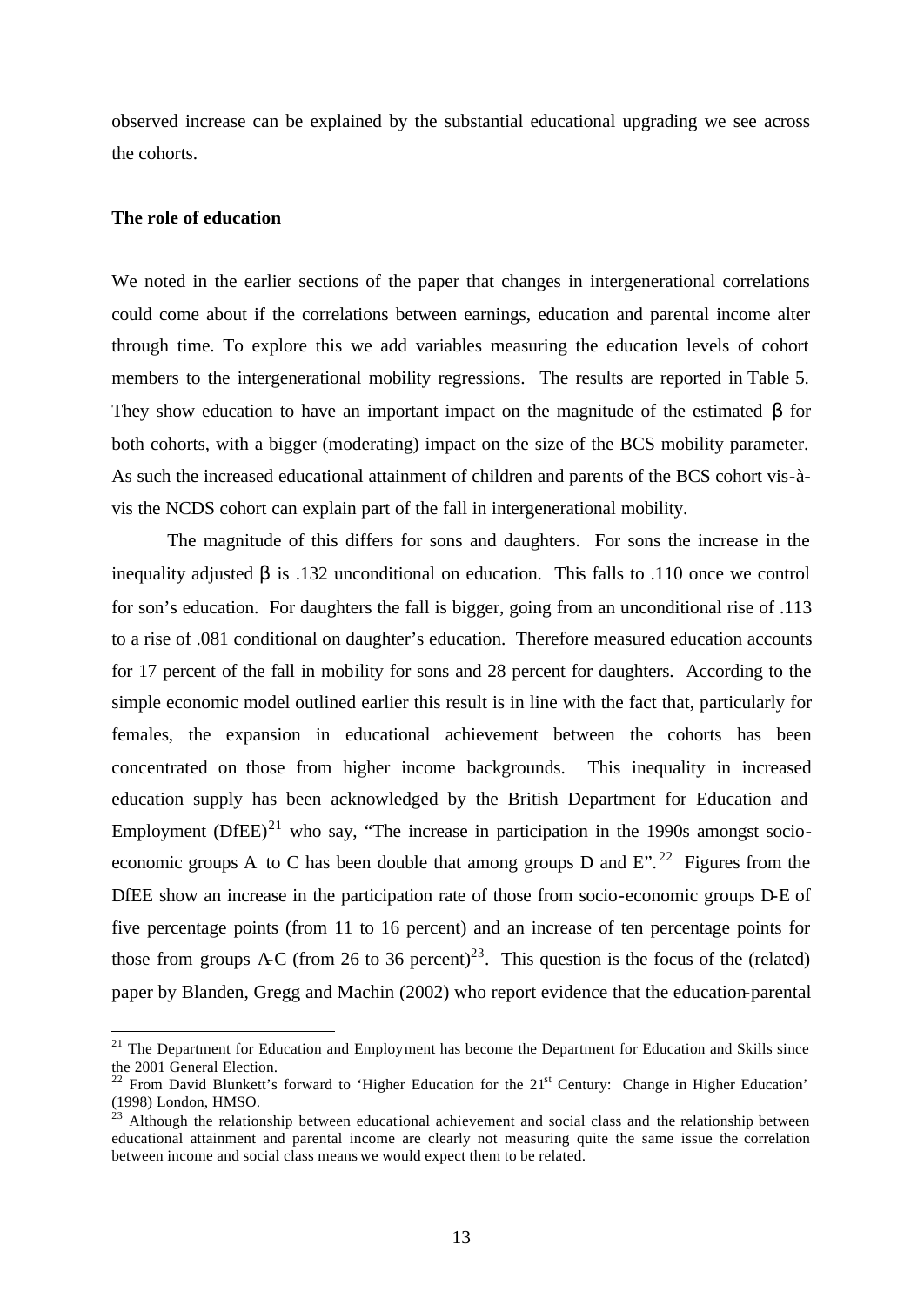observed increase can be explained by the substantial educational upgrading we see across the cohorts.

#### **The role of education**

l

We noted in the earlier sections of the paper that changes in intergenerational correlations could come about if the correlations between earnings, education and parental income alter through time. To explore this we add variables measuring the education levels of cohort members to the intergenerational mobility regressions. The results are reported in Table 5. They show education to have an important impact on the magnitude of the estimated  $\beta$  for both cohorts, with a bigger (moderating) impact on the size of the BCS mobility parameter. As such the increased educational attainment of children and parents of the BCS cohort vis-àvis the NCDS cohort can explain part of the fall in intergenerational mobility.

The magnitude of this differs for sons and daughters. For sons the increase in the inequality adjusted  $\beta$  is .132 unconditional on education. This falls to .110 once we control for son's education. For daughters the fall is bigger, going from an unconditional rise of .113 to a rise of .081 conditional on daughter's education. Therefore measured education accounts for 17 percent of the fall in mobility for sons and 28 percent for daughters. According to the simple economic model outlined earlier this result is in line with the fact that, particularly for females, the expansion in educational achievement between the cohorts has been concentrated on those from higher income backgrounds. This inequality in increased education supply has been acknowledged by the British Department for Education and Employment  $(DfEE)^{21}$  who say, "The increase in participation in the 1990s amongst socioeconomic groups A to C has been double that among groups D and  $E$ ".<sup>22</sup> Figures from the DfEE show an increase in the participation rate of those from socio-economic groups D-E of five percentage points (from 11 to 16 percent) and an increase of ten percentage points for those from groups A-C (from 26 to 36 percent)<sup>23</sup>. This question is the focus of the (related) paper by Blanden, Gregg and Machin (2002) who report evidence that the education-parental

 $21$  The Department for Education and Employment has become the Department for Education and Skills since the 2001 General Election.

<sup>&</sup>lt;sup>22</sup> From David Blunkett's forward to 'Higher Education for the  $21<sup>st</sup>$  Century: Change in Higher Education' (1998) London, HMSO.

 $^{23}$  Although the relationship between educational achievement and social class and the relationship between educational attainment and parental income are clearly not measuring quite the same issue the correlation between income and social class means we would expect them to be related.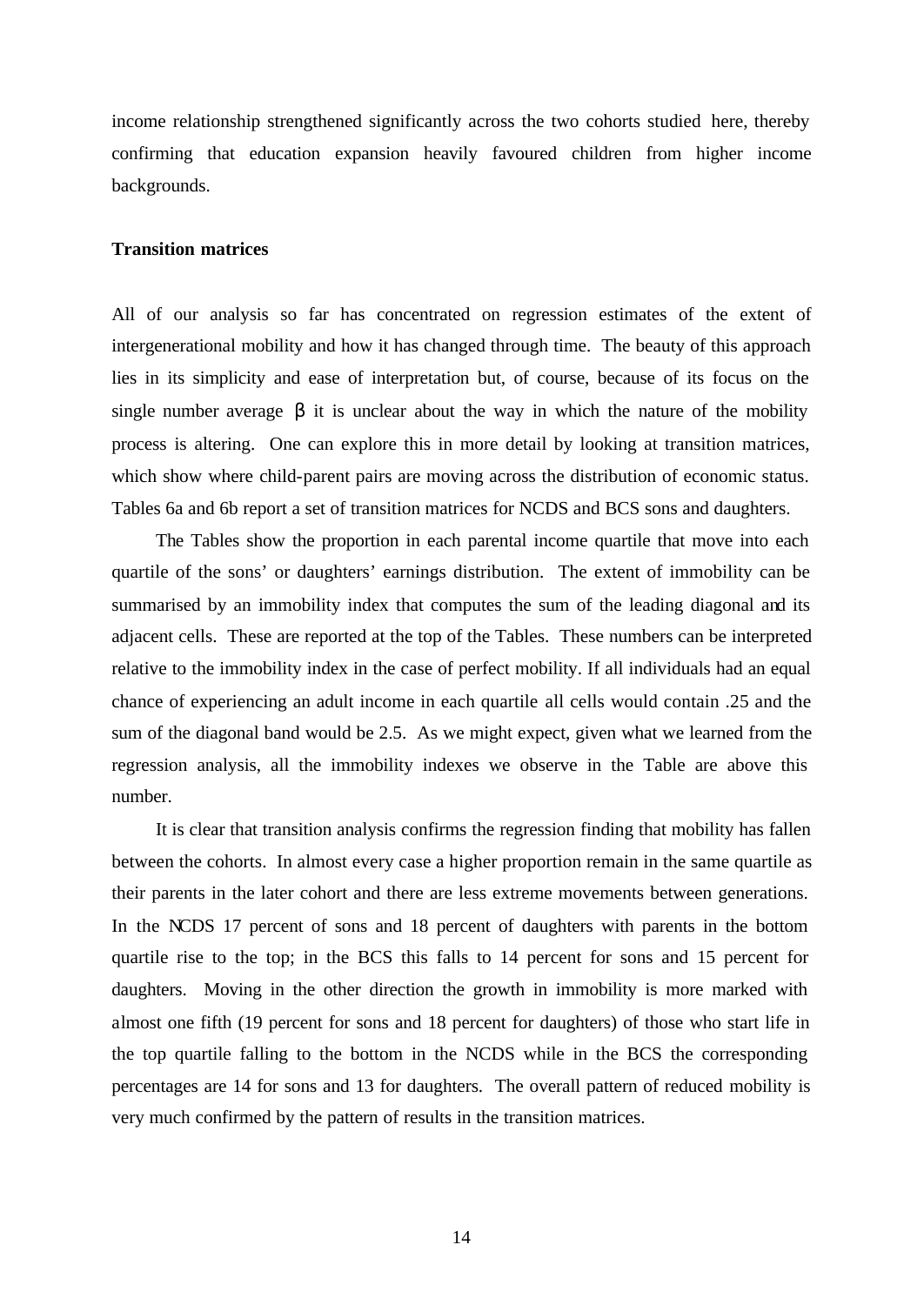income relationship strengthened significantly across the two cohorts studied here, thereby confirming that education expansion heavily favoured children from higher income backgrounds.

#### **Transition matrices**

All of our analysis so far has concentrated on regression estimates of the extent of intergenerational mobility and how it has changed through time. The beauty of this approach lies in its simplicity and ease of interpretation but, of course, because of its focus on the single number average  $\beta$  it is unclear about the way in which the nature of the mobility process is altering. One can explore this in more detail by looking at transition matrices, which show where child-parent pairs are moving across the distribution of economic status. Tables 6a and 6b report a set of transition matrices for NCDS and BCS sons and daughters.

The Tables show the proportion in each parental income quartile that move into each quartile of the sons' or daughters' earnings distribution. The extent of immobility can be summarised by an immobility index that computes the sum of the leading diagonal and its adjacent cells. These are reported at the top of the Tables. These numbers can be interpreted relative to the immobility index in the case of perfect mobility. If all individuals had an equal chance of experiencing an adult income in each quartile all cells would contain .25 and the sum of the diagonal band would be 2.5. As we might expect, given what we learned from the regression analysis, all the immobility indexes we observe in the Table are above this number.

It is clear that transition analysis confirms the regression finding that mobility has fallen between the cohorts. In almost every case a higher proportion remain in the same quartile as their parents in the later cohort and there are less extreme movements between generations. In the NCDS 17 percent of sons and 18 percent of daughters with parents in the bottom quartile rise to the top; in the BCS this falls to 14 percent for sons and 15 percent for daughters. Moving in the other direction the growth in immobility is more marked with almost one fifth (19 percent for sons and 18 percent for daughters) of those who start life in the top quartile falling to the bottom in the NCDS while in the BCS the corresponding percentages are 14 for sons and 13 for daughters. The overall pattern of reduced mobility is very much confirmed by the pattern of results in the transition matrices.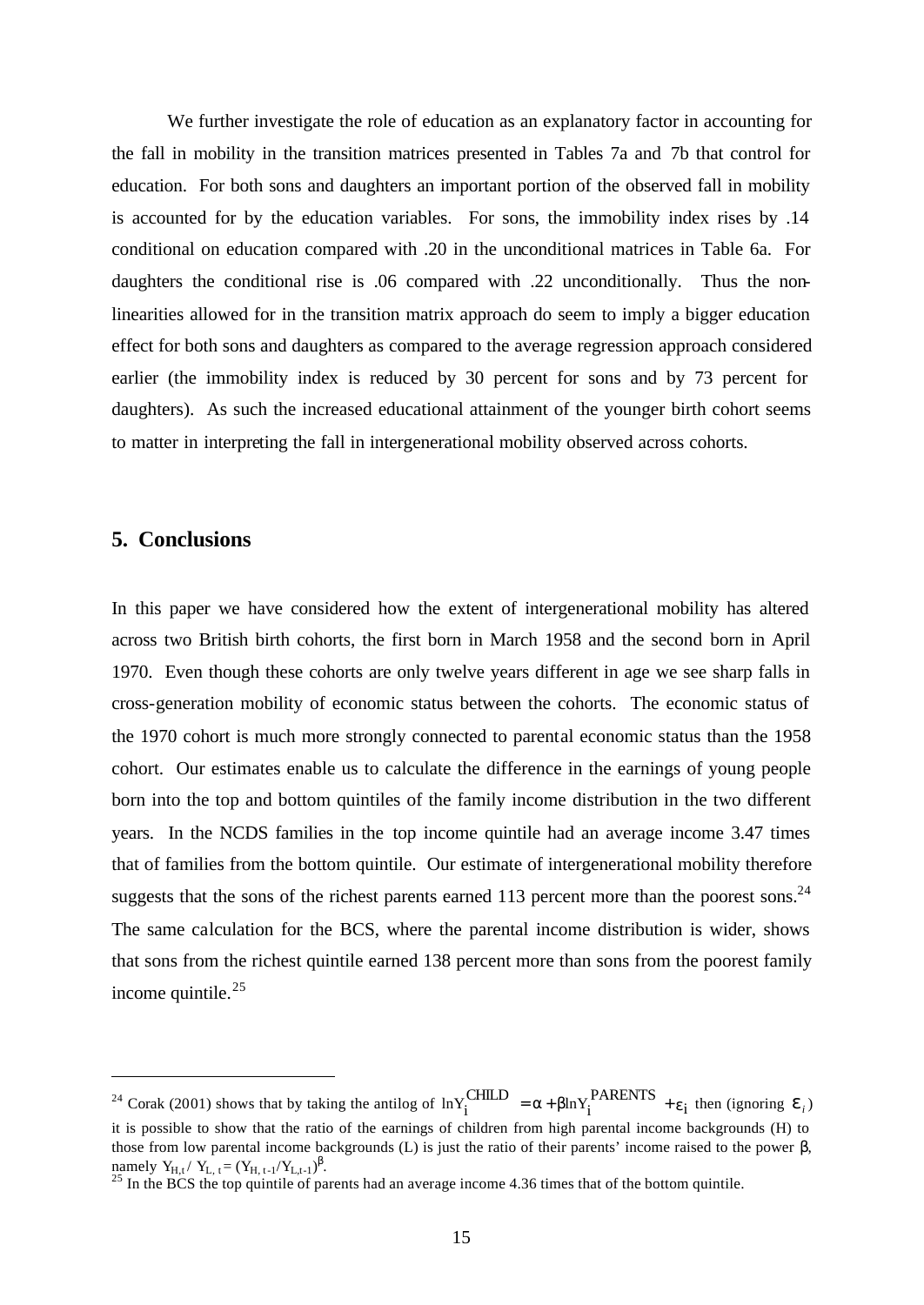We further investigate the role of education as an explanatory factor in accounting for the fall in mobility in the transition matrices presented in Tables 7a and 7b that control for education. For both sons and daughters an important portion of the observed fall in mobility is accounted for by the education variables. For sons, the immobility index rises by .14 conditional on education compared with .20 in the unconditional matrices in Table 6a. For daughters the conditional rise is .06 compared with .22 unconditionally. Thus the nonlinearities allowed for in the transition matrix approach do seem to imply a bigger education effect for both sons and daughters as compared to the average regression approach considered earlier (the immobility index is reduced by 30 percent for sons and by 73 percent for daughters). As such the increased educational attainment of the younger birth cohort seems to matter in interpreting the fall in intergenerational mobility observed across cohorts.

# **5. Conclusions**

l

In this paper we have considered how the extent of intergenerational mobility has altered across two British birth cohorts, the first born in March 1958 and the second born in April 1970. Even though these cohorts are only twelve years different in age we see sharp falls in cross-generation mobility of economic status between the cohorts. The economic status of the 1970 cohort is much more strongly connected to parental economic status than the 1958 cohort. Our estimates enable us to calculate the difference in the earnings of young people born into the top and bottom quintiles of the family income distribution in the two different years. In the NCDS families in the top income quintile had an average income 3.47 times that of families from the bottom quintile. Our estimate of intergenerational mobility therefore suggests that the sons of the richest parents earned 113 percent more than the poorest sons.<sup>24</sup> The same calculation for the BCS, where the parental income distribution is wider, shows that sons from the richest quintile earned 138 percent more than sons from the poorest family income quintile. $25$ 

<sup>&</sup>lt;sup>24</sup> Corak (2001) shows that by taking the antilog of  $lnY_i^{\text{CHILD}} = \alpha + \beta lnY_i^{\text{PARENTS}} + \epsilon_i$  $\ln Y_i^{\text{CHILD}} = \alpha + \beta \ln Y_i^{\text{PARENTS}} + \varepsilon_i^{\text{ then (ignoring }} e_i^{\text{)}}$ it is possible to show that the ratio of the earnings of children from high parental income backgrounds (H) to those from low parental income backgrounds (L) is just the ratio of their parents' income raised to the power β, namely  $Y_{H,t} / Y_{L,t} = (Y_{H,t-1} / Y_{L,t-1})^{\beta}$ .

 $^{25}$  In the BCS the top quintile of parents had an average income 4.36 times that of the bottom quintile.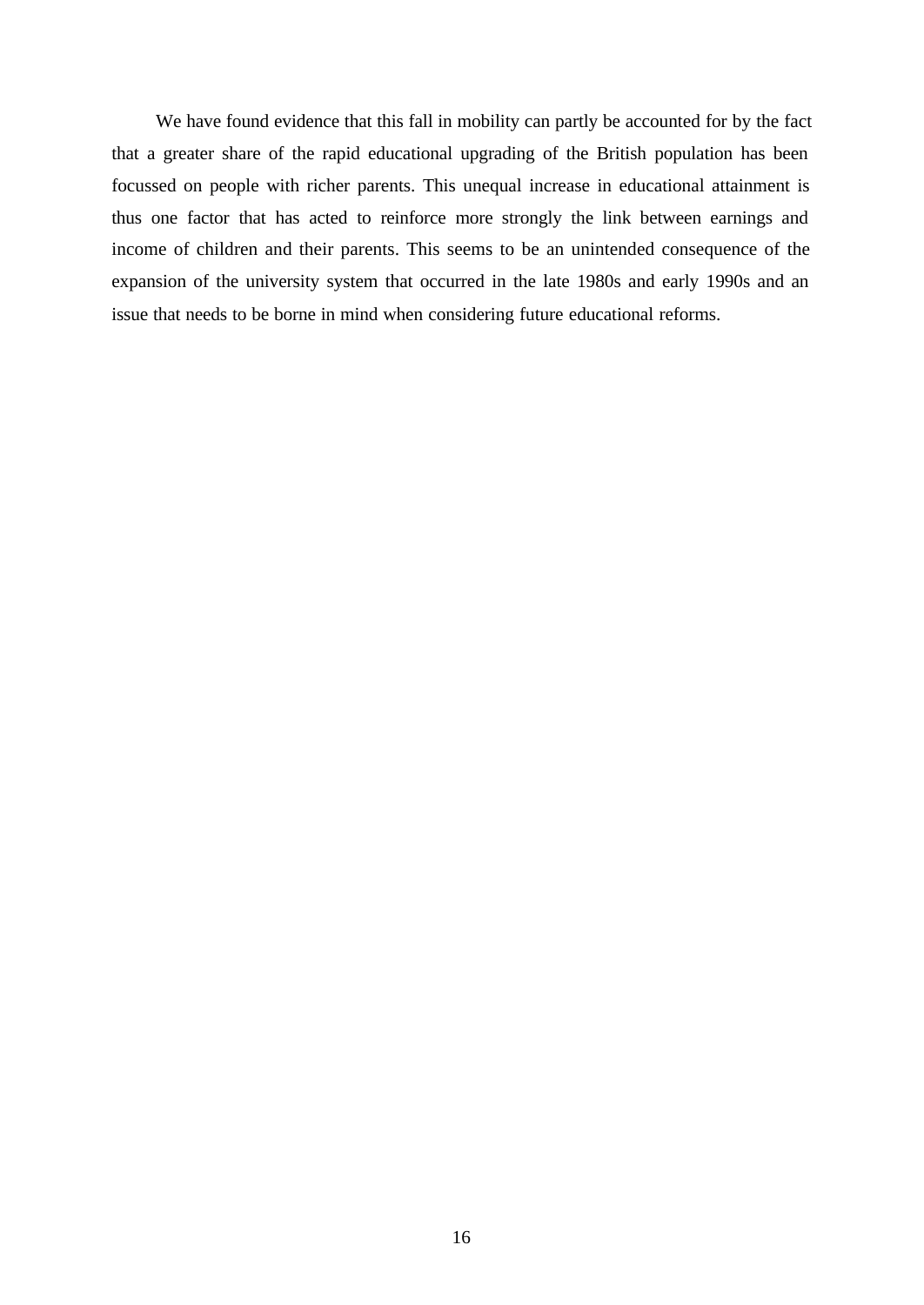We have found evidence that this fall in mobility can partly be accounted for by the fact that a greater share of the rapid educational upgrading of the British population has been focussed on people with richer parents. This unequal increase in educational attainment is thus one factor that has acted to reinforce more strongly the link between earnings and income of children and their parents. This seems to be an unintended consequence of the expansion of the university system that occurred in the late 1980s and early 1990s and an issue that needs to be borne in mind when considering future educational reforms.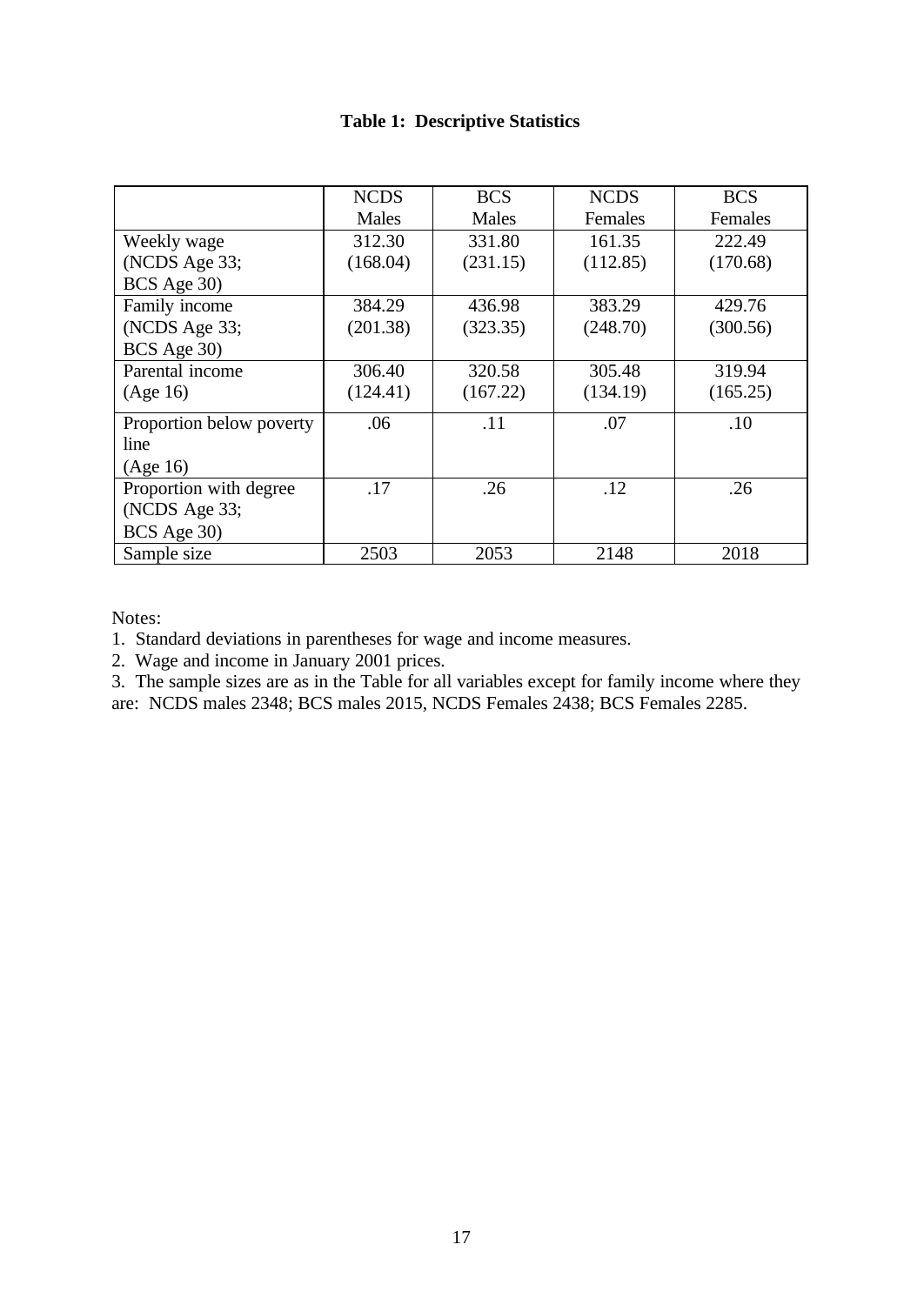# **Table 1: Descriptive Statistics**

|                          | <b>NCDS</b> | <b>BCS</b> | <b>NCDS</b> | <b>BCS</b> |
|--------------------------|-------------|------------|-------------|------------|
|                          | Males       | Males      | Females     | Females    |
| Weekly wage              | 312.30      | 331.80     | 161.35      | 222.49     |
| (NCDS Age 33;            | (168.04)    | (231.15)   | (112.85)    | (170.68)   |
| BCS Age 30)              |             |            |             |            |
| Family income            | 384.29      | 436.98     | 383.29      | 429.76     |
| (NCDS Age 33;            | (201.38)    | (323.35)   | (248.70)    | (300.56)   |
| BCS Age 30)              |             |            |             |            |
| Parental income          | 306.40      | 320.58     | 305.48      | 319.94     |
| (Age 16)                 | (124.41)    | (167.22)   | (134.19)    | (165.25)   |
| Proportion below poverty | .06         | .11        | .07         | .10        |
| line                     |             |            |             |            |
| (Age 16)                 |             |            |             |            |
| Proportion with degree   | .17         | .26        | .12         | .26        |
| (NCDS Age 33;            |             |            |             |            |
| BCS Age 30)              |             |            |             |            |
| Sample size              | 2503        | 2053       | 2148        | 2018       |

Notes:

1. Standard deviations in parentheses for wage and income measures.

2. Wage and income in January 2001 prices.

3. The sample sizes are as in the Table for all variables except for family income where they are: NCDS males 2348; BCS males 2015, NCDS Females 2438; BCS Females 2285.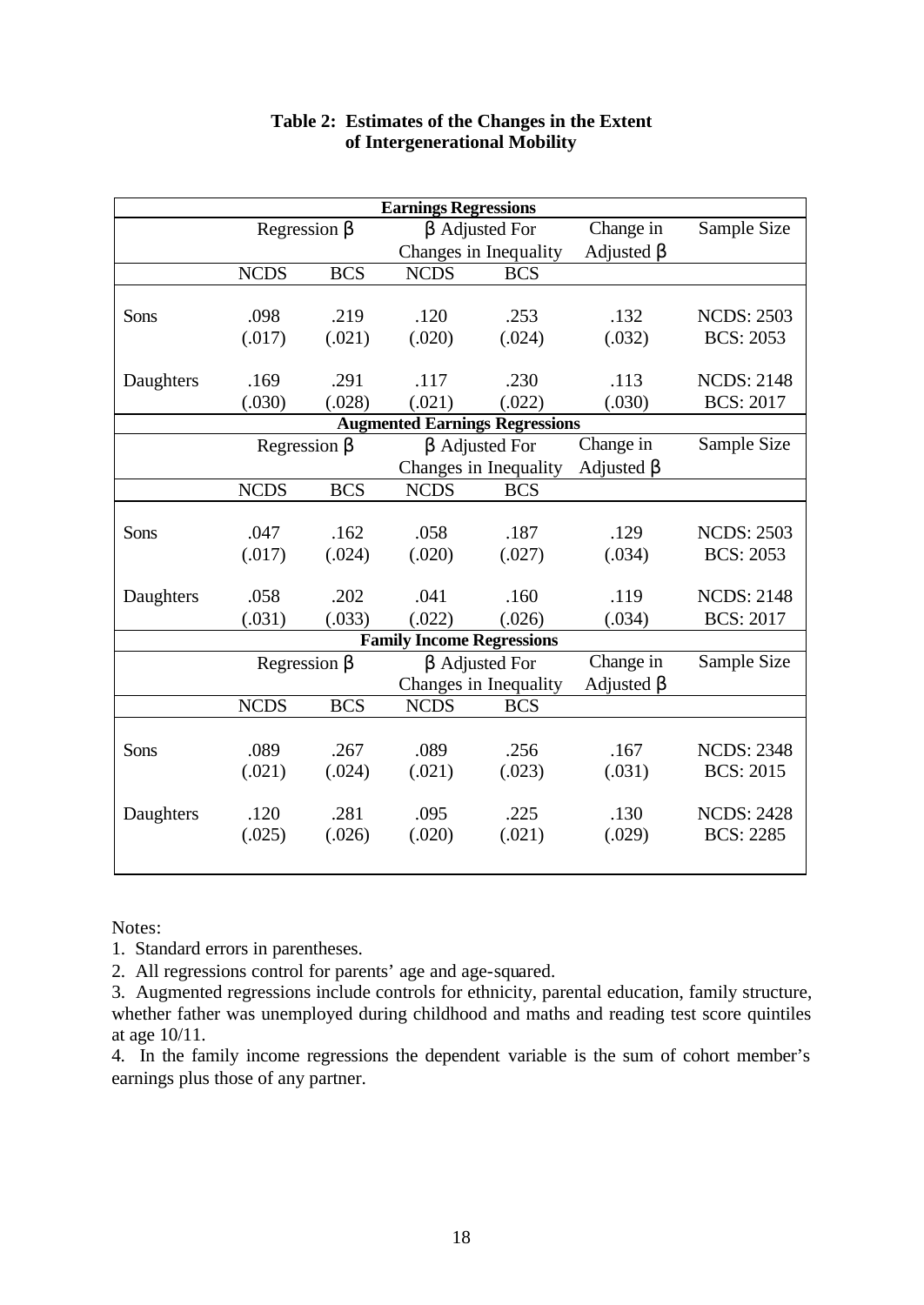| <b>Earnings Regressions</b> |                    |            |                                  |                                       |                  |                   |
|-----------------------------|--------------------|------------|----------------------------------|---------------------------------------|------------------|-------------------|
|                             | Regression $\beta$ |            |                                  | $\beta$ Adjusted For                  | Change in        | Sample Size       |
|                             |                    |            |                                  | Changes in Inequality                 | Adjusted $\beta$ |                   |
|                             | <b>NCDS</b>        | <b>BCS</b> | <b>NCDS</b>                      | <b>BCS</b>                            |                  |                   |
|                             |                    |            |                                  |                                       |                  |                   |
| Sons                        | .098               | .219       | .120                             | .253                                  | .132             | <b>NCDS: 2503</b> |
|                             | (.017)             | (.021)     | (.020)                           | (.024)                                | (.032)           | <b>BCS: 2053</b>  |
|                             |                    |            |                                  |                                       |                  |                   |
| Daughters                   | .169               | .291       | .117                             | .230                                  | .113             | <b>NCDS: 2148</b> |
|                             | (.030)             | (.028)     | (.021)                           | (.022)                                | (.030)           | <b>BCS: 2017</b>  |
|                             |                    |            |                                  | <b>Augmented Earnings Regressions</b> |                  |                   |
|                             | Regression $\beta$ |            |                                  | $\beta$ Adjusted For                  | Change in        | Sample Size       |
|                             |                    |            |                                  | Changes in Inequality                 | Adjusted $\beta$ |                   |
|                             | <b>NCDS</b>        | <b>BCS</b> | <b>NCDS</b>                      | <b>BCS</b>                            |                  |                   |
|                             |                    |            |                                  |                                       |                  |                   |
| Sons                        | .047               | .162       | .058                             | .187                                  | .129             | <b>NCDS: 2503</b> |
|                             | (.017)             | (.024)     | (.020)                           | (.027)                                | (.034)           | <b>BCS: 2053</b>  |
|                             |                    |            |                                  |                                       |                  |                   |
| Daughters                   | .058               | .202       | .041                             | .160                                  | .119             | <b>NCDS: 2148</b> |
|                             | (.031)             | (.033)     | (.022)                           | (.026)                                | (.034)           | <b>BCS: 2017</b>  |
|                             |                    |            | <b>Family Income Regressions</b> |                                       |                  |                   |
|                             | Regression $\beta$ |            |                                  | $\beta$ Adjusted For                  | Change in        | Sample Size       |
|                             |                    |            |                                  | Changes in Inequality                 | Adjusted $\beta$ |                   |
|                             | <b>NCDS</b>        | <b>BCS</b> | <b>NCDS</b>                      | <b>BCS</b>                            |                  |                   |
|                             |                    |            |                                  |                                       |                  |                   |
| Sons                        | .089               | .267       | .089                             | .256                                  | .167             | <b>NCDS: 2348</b> |
|                             | (.021)             | (.024)     | (.021)                           | (.023)                                | (.031)           | <b>BCS: 2015</b>  |
|                             |                    |            |                                  |                                       |                  |                   |
| Daughters                   | .120               | .281       | .095                             | .225                                  | .130             | <b>NCDS: 2428</b> |
|                             | (.025)             | (.026)     | (.020)                           | (.021)                                | (.029)           | <b>BCS: 2285</b>  |
|                             |                    |            |                                  |                                       |                  |                   |

# **Table 2: Estimates of the Changes in the Extent of Intergenerational Mobility**

Notes:

1. Standard errors in parentheses.

2. All regressions control for parents' age and age-squared.

3. Augmented regressions include controls for ethnicity, parental education, family structure, whether father was unemployed during childhood and maths and reading test score quintiles at age 10/11.

4. In the family income regressions the dependent variable is the sum of cohort member's earnings plus those of any partner.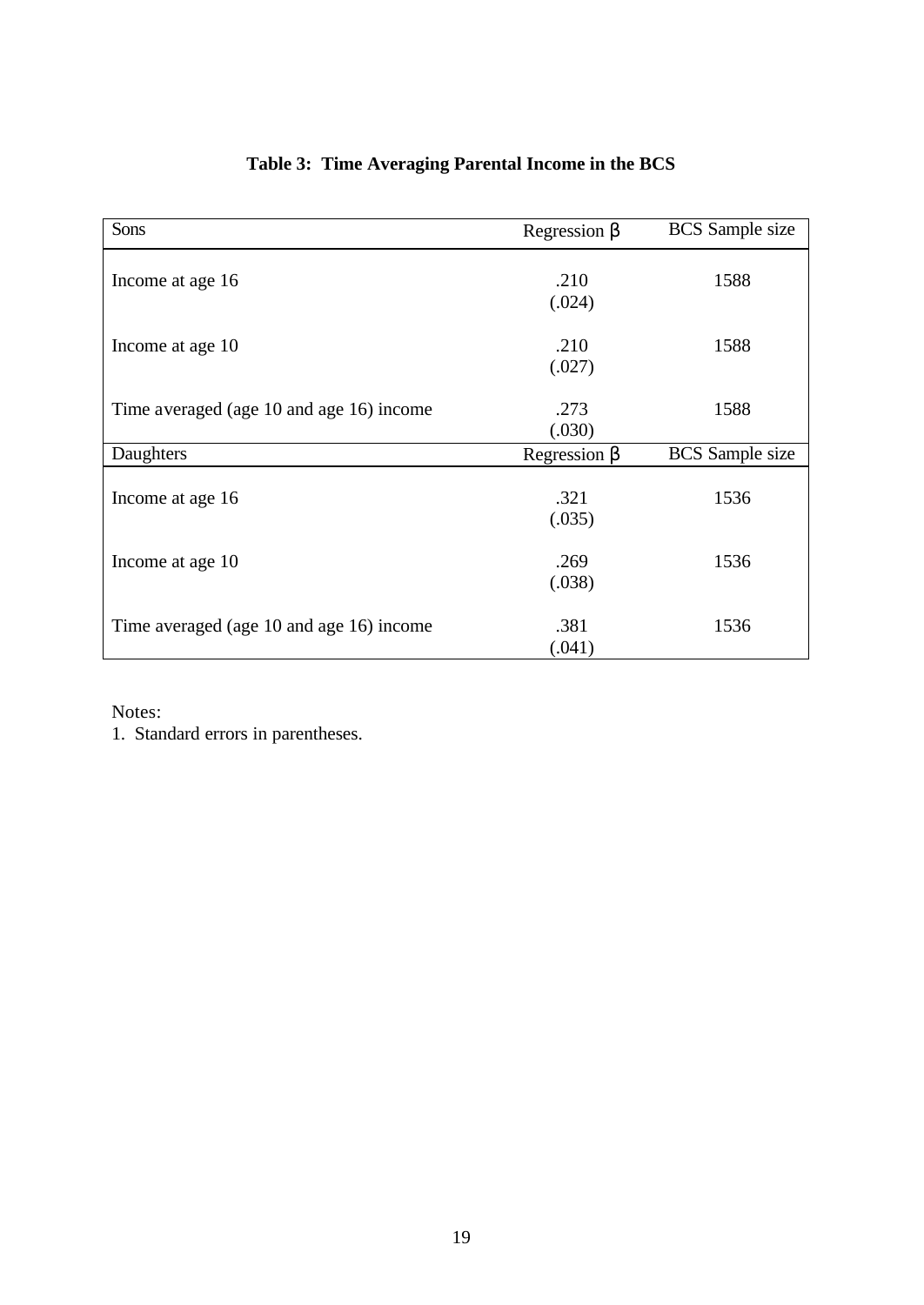| Sons                                     | Regression $\beta$ | <b>BCS</b> Sample size |
|------------------------------------------|--------------------|------------------------|
|                                          |                    |                        |
| Income at age 16                         | .210               | 1588                   |
|                                          | (.024)             |                        |
|                                          |                    |                        |
|                                          | .210               | 1588                   |
| Income at age 10                         |                    |                        |
|                                          | (.027)             |                        |
|                                          |                    |                        |
| Time averaged (age 10 and age 16) income | .273               | 1588                   |
|                                          | (.030)             |                        |
| Daughters                                | Regression $\beta$ | <b>BCS</b> Sample size |
|                                          |                    |                        |
| Income at age 16                         | .321               | 1536                   |
|                                          | (.035)             |                        |
|                                          |                    |                        |
| Income at age 10                         | .269               | 1536                   |
|                                          |                    |                        |
|                                          | (.038)             |                        |
|                                          | .381               | 1536                   |
| Time averaged (age 10 and age 16) income |                    |                        |
|                                          | (.041)             |                        |

# **Table 3: Time Averaging Parental Income in the BCS**

Notes:

1. Standard errors in parentheses.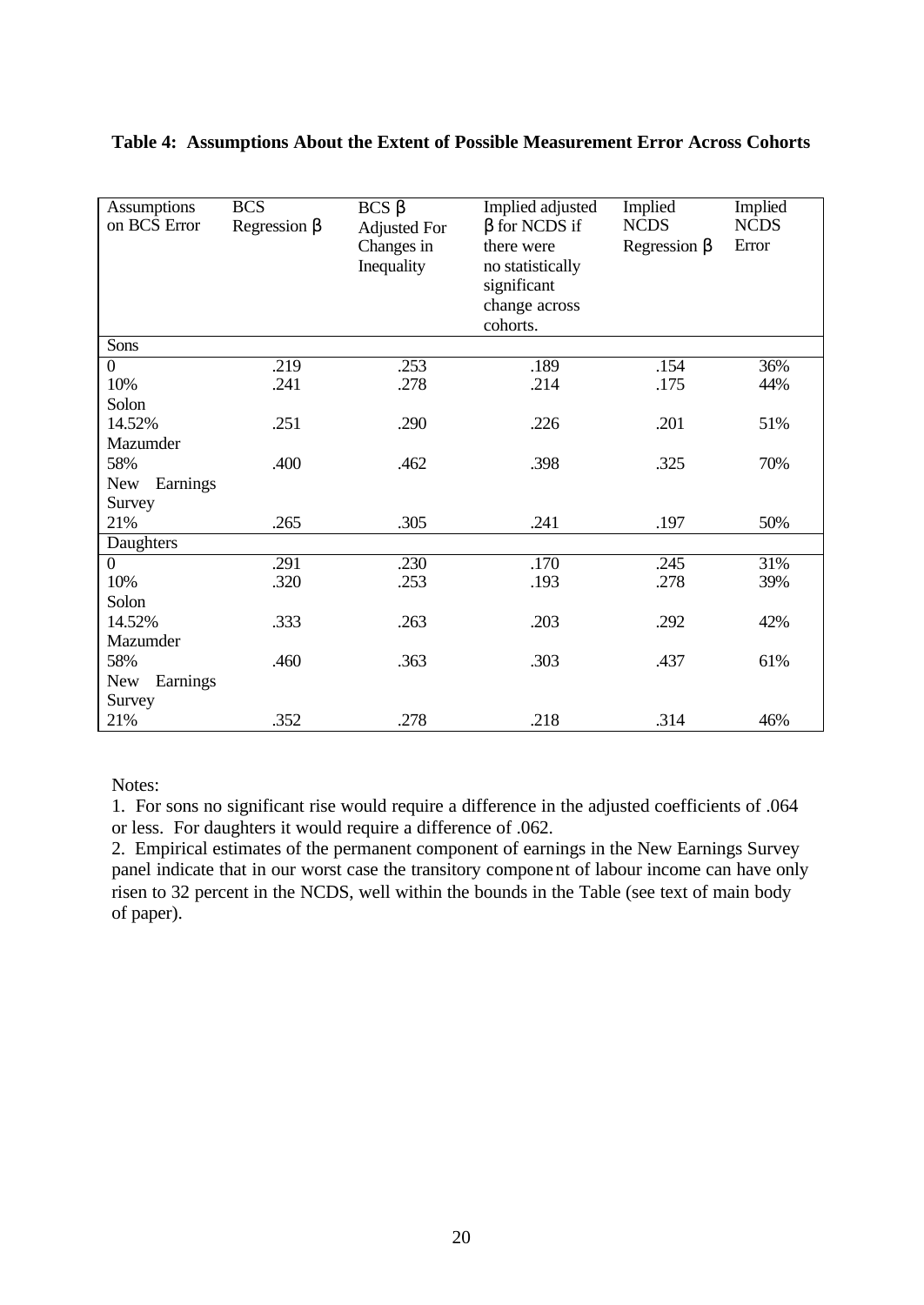| Assumptions<br>on BCS Error | <b>BCS</b><br>Regression $\beta$ | $BCS\beta$<br><b>Adjusted For</b><br>Changes in<br>Inequality | Implied adjusted<br>$\beta$ for NCDS if<br>there were<br>no statistically<br>significant<br>change across<br>cohorts. | Implied<br><b>NCDS</b><br>Regression $\beta$ | Implied<br><b>NCDS</b><br>Error |
|-----------------------------|----------------------------------|---------------------------------------------------------------|-----------------------------------------------------------------------------------------------------------------------|----------------------------------------------|---------------------------------|
| Sons                        |                                  |                                                               |                                                                                                                       |                                              |                                 |
| $\overline{0}$              | .219                             | .253                                                          | .189                                                                                                                  | .154                                         | 36%                             |
| 10%                         | .241                             | .278                                                          | .214                                                                                                                  | .175                                         | 44%                             |
| Solon                       |                                  |                                                               |                                                                                                                       |                                              |                                 |
| 14.52%                      | .251                             | .290                                                          | .226                                                                                                                  | .201                                         | 51%                             |
| Mazumder                    |                                  |                                                               |                                                                                                                       |                                              |                                 |
| 58%                         | .400                             | .462                                                          | .398                                                                                                                  | .325                                         | 70%                             |
| Earnings<br><b>New</b>      |                                  |                                                               |                                                                                                                       |                                              |                                 |
| Survey                      |                                  |                                                               |                                                                                                                       |                                              |                                 |
| 21%                         | .265                             | .305                                                          | .241                                                                                                                  | .197                                         | 50%                             |
| Daughters                   |                                  |                                                               |                                                                                                                       |                                              |                                 |
| $\boldsymbol{0}$            | .291                             | .230                                                          | .170                                                                                                                  | .245                                         | 31%                             |
| 10%                         | .320                             | .253                                                          | .193                                                                                                                  | .278                                         | 39%                             |
| Solon                       |                                  |                                                               |                                                                                                                       |                                              |                                 |
| 14.52%                      | .333                             | .263                                                          | .203                                                                                                                  | .292                                         | 42%                             |
| Mazumder                    |                                  |                                                               |                                                                                                                       |                                              |                                 |
| 58%                         | .460                             | .363                                                          | .303                                                                                                                  | .437                                         | 61%                             |
| Earnings<br><b>New</b>      |                                  |                                                               |                                                                                                                       |                                              |                                 |
| Survey                      |                                  |                                                               |                                                                                                                       |                                              |                                 |
| 21%                         | .352                             | .278                                                          | .218                                                                                                                  | .314                                         | 46%                             |

### **Table 4: Assumptions About the Extent of Possible Measurement Error Across Cohorts**

Notes:

1. For sons no significant rise would require a difference in the adjusted coefficients of .064 or less. For daughters it would require a difference of .062.

2. Empirical estimates of the permanent component of earnings in the New Earnings Survey panel indicate that in our worst case the transitory component of labour income can have only risen to 32 percent in the NCDS, well within the bounds in the Table (see text of main body of paper).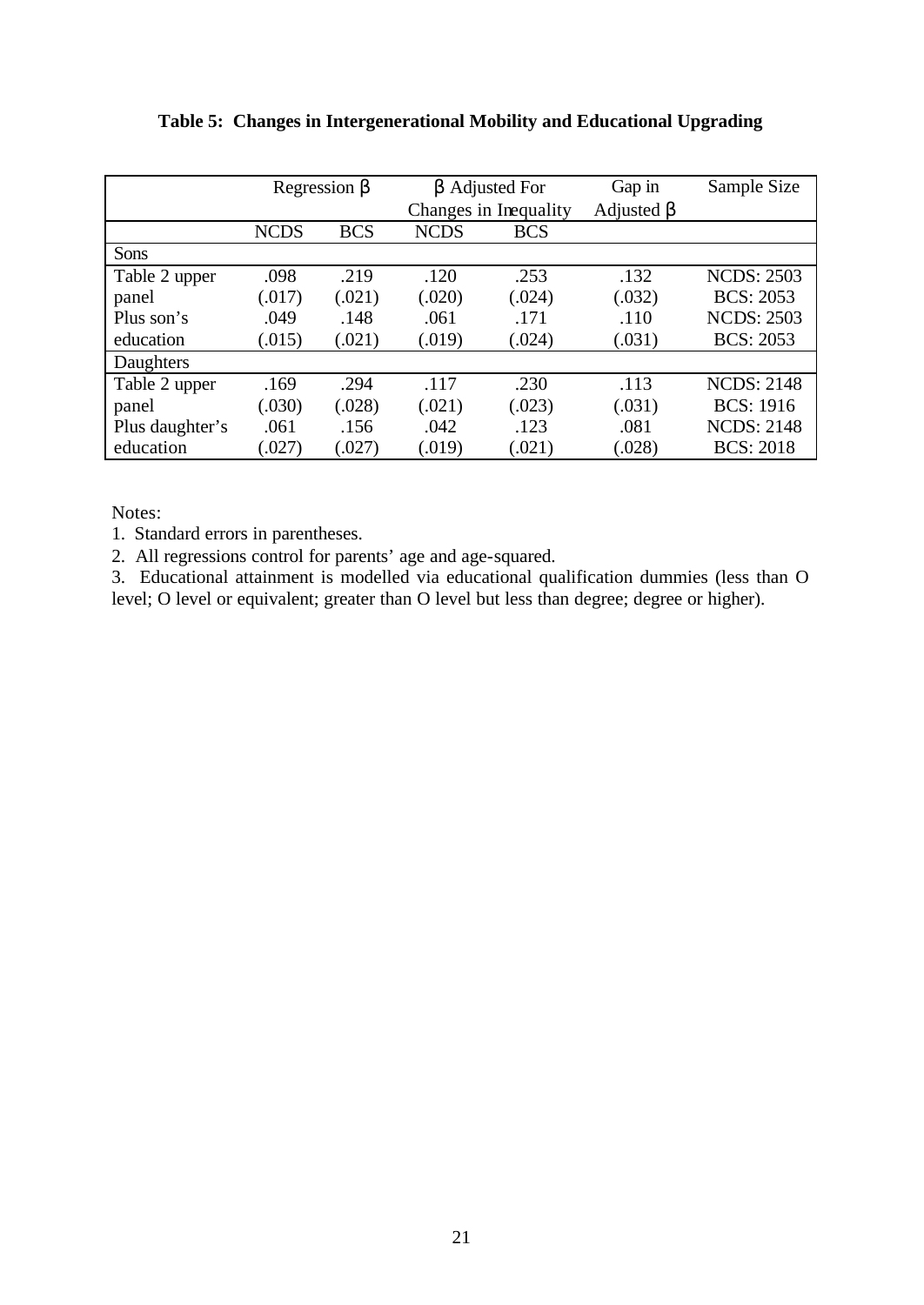|                 | Regression $\beta$ |            |             | $\beta$ Adjusted For  | Gap in           | Sample Size       |
|-----------------|--------------------|------------|-------------|-----------------------|------------------|-------------------|
|                 |                    |            |             | Changes in Inequality | Adjusted $\beta$ |                   |
|                 | <b>NCDS</b>        | <b>BCS</b> | <b>NCDS</b> | <b>BCS</b>            |                  |                   |
| <b>Sons</b>     |                    |            |             |                       |                  |                   |
| Table 2 upper   | .098               | .219       | .120        | .253                  | .132             | <b>NCDS: 2503</b> |
| panel           | (.017)             | (.021)     | (.020)      | (.024)                | (.032)           | <b>BCS: 2053</b>  |
| Plus son's      | .049               | .148       | .061        | .171                  | .110             | <b>NCDS: 2503</b> |
| education       | (.015)             | (.021)     | (.019)      | (.024)                | (.031)           | <b>BCS: 2053</b>  |
| Daughters       |                    |            |             |                       |                  |                   |
| Table 2 upper   | .169               | .294       | .117        | .230                  | .113             | <b>NCDS: 2148</b> |
| panel           | (.030)             | (.028)     | (.021)      | (.023)                | (.031)           | <b>BCS: 1916</b>  |
| Plus daughter's | .061               | .156       | .042        | .123                  | .081             | <b>NCDS: 2148</b> |
| education       | (.027)             | (.027)     | (.019)      | (.021)                | (.028)           | <b>BCS: 2018</b>  |

**Table 5: Changes in Intergenerational Mobility and Educational Upgrading**

Notes:

1. Standard errors in parentheses.

2. All regressions control for parents' age and age-squared.

3. Educational attainment is modelled via educational qualification dummies (less than O level; O level or equivalent; greater than O level but less than degree; degree or higher).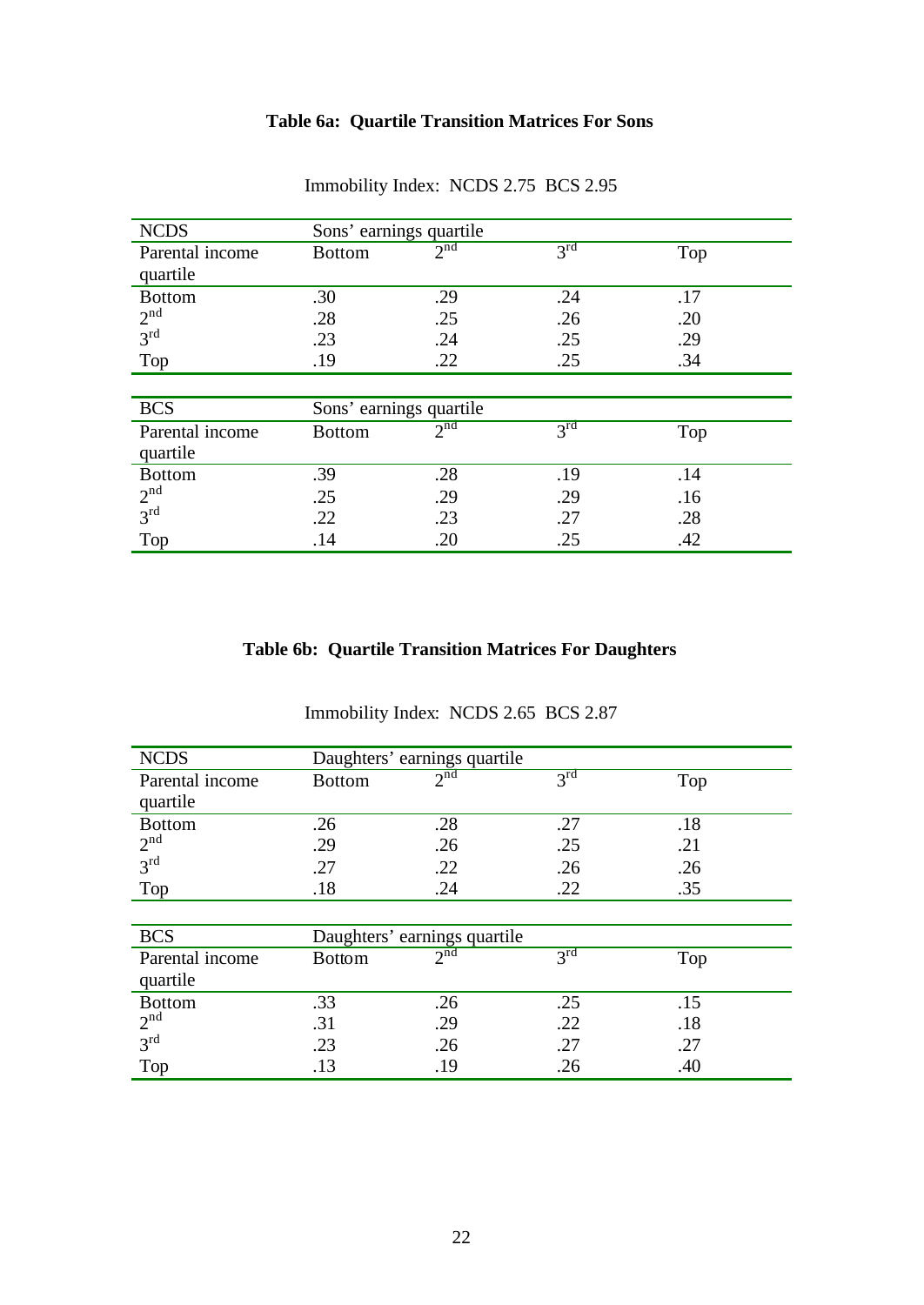# **Table 6a: Quartile Transition Matrices For Sons**

| <b>NCDS</b>     | Sons' earnings quartile |                 |                 |     |
|-----------------|-------------------------|-----------------|-----------------|-----|
| Parental income | <b>Bottom</b>           | $2^{nd}$        | 3 <sup>rd</sup> | Top |
| quartile        |                         |                 |                 |     |
| <b>Bottom</b>   | .30                     | .29             | .24             | .17 |
| 2 <sup>nd</sup> | .28                     | .25             | .26             | .20 |
| 3 <sup>rd</sup> | .23                     | .24             | .25             | .29 |
| Top             | .19                     | .22             | .25             | .34 |
|                 |                         |                 |                 |     |
| <b>BCS</b>      | Sons' earnings quartile |                 |                 |     |
| Parental income | <b>Bottom</b>           | 2 <sub>nd</sub> | 3 <sup>rd</sup> | Top |
| quartile        |                         |                 |                 |     |
| <b>Bottom</b>   | .39                     | .28             | .19             | .14 |
| 2 <sup>nd</sup> | .25                     | .29             | .29             | .16 |
| 3 <sup>rd</sup> | .22                     | .23             | .27             | .28 |
| Top             | .14                     | .20             | .25             | .42 |

Immobility Index: NCDS 2.75 BCS 2.95

# **Table 6b: Quartile Transition Matrices For Daughters**

| <b>NCDS</b>                 | Daughters' earnings quartile |          |                 |     |
|-----------------------------|------------------------------|----------|-----------------|-----|
| Parental income<br>quartile | <b>Bottom</b>                | $2^{nd}$ | $3^{rd}$        | Top |
| <b>Bottom</b>               | .26                          | .28      | .27             | .18 |
| 2 <sup>nd</sup>             | .29                          | .26      | .25             | .21 |
| 3 <sup>rd</sup>             | .27                          | .22      | .26             | .26 |
| Top                         | .18                          | .24      | .22             | .35 |
|                             |                              |          |                 |     |
| <b>BCS</b>                  | Daughters' earnings quartile |          |                 |     |
| Parental income             | <b>Bottom</b>                | $2^{nd}$ | $3^{\text{rd}}$ | Top |
| quartile                    |                              |          |                 |     |
| <b>Bottom</b>               | .33                          | .26      | .25             | .15 |
| 2 <sup>nd</sup>             | .31                          | .29      | .22             | .18 |
| 3 <sup>rd</sup>             | .23                          | .26      | .27             | .27 |
| Top                         | .13                          | .19      | .26             | .40 |

Immobility Index: NCDS 2.65 BCS 2.87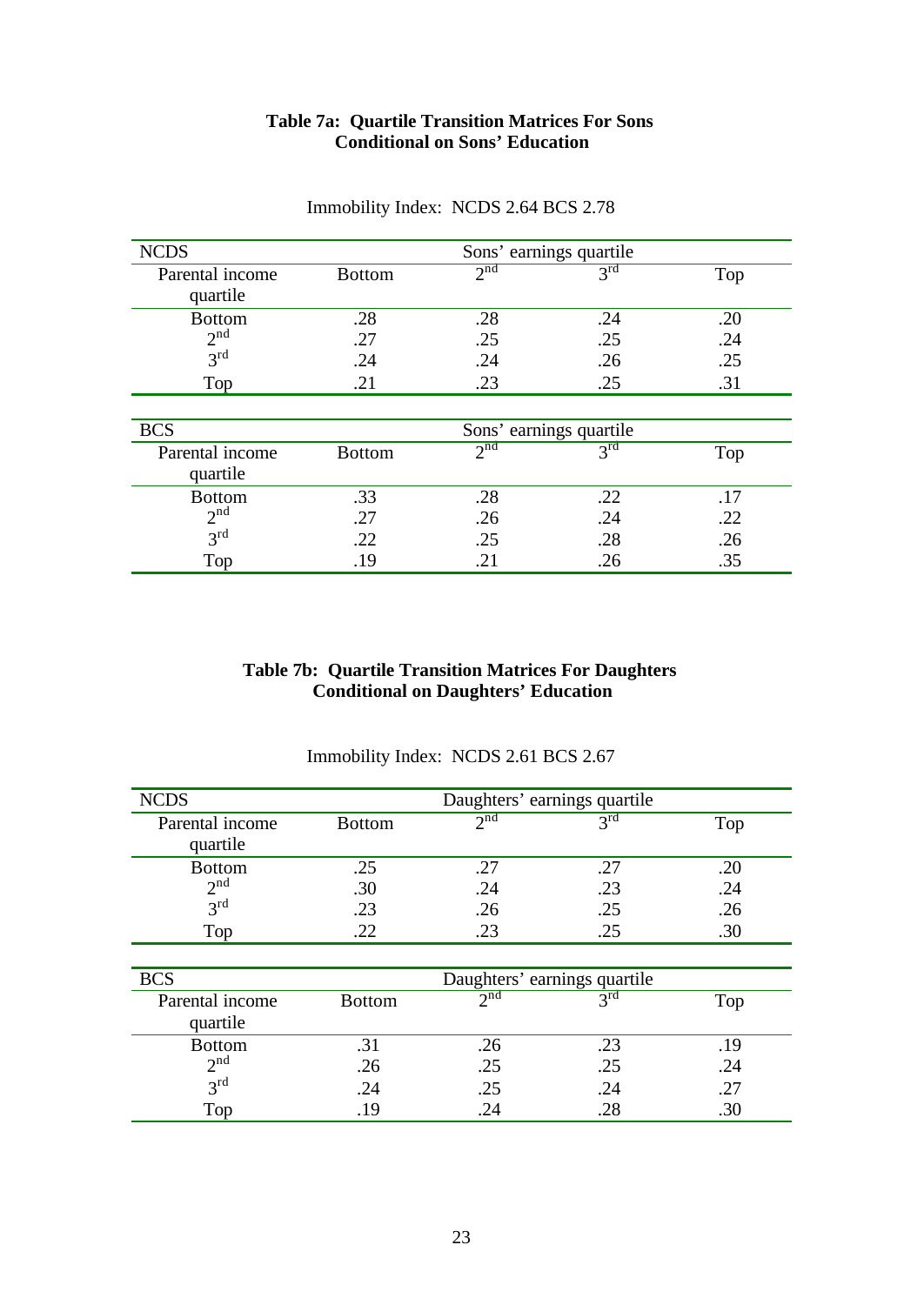#### **Table 7a: Quartile Transition Matrices For Sons Conditional on Sons' Education**

| <b>NCDS</b>     |               |                 | Sons' earnings quartile |     |
|-----------------|---------------|-----------------|-------------------------|-----|
| Parental income | <b>Bottom</b> | 2 <sup>nd</sup> | $3^{rd}$                | Top |
| quartile        |               |                 |                         |     |
| <b>Bottom</b>   | .28           | .28             | .24                     | .20 |
| 2 <sup>nd</sup> | .27           | .25             | .25                     | .24 |
| $3^{\text{rd}}$ | .24           | .24             | .26                     | .25 |
| Top             | .21           | .23             | .25                     | .31 |
|                 |               |                 |                         |     |
| <b>BCS</b>      |               |                 | Sons' earnings quartile |     |
| Parental income | <b>Bottom</b> | 2 <sup>nd</sup> | $3^{rd}$                | Top |
| quartile        |               |                 |                         |     |
| <b>Bottom</b>   | .33           | .28             | .22                     | .17 |
| 2 <sup>nd</sup> | .27           | .26             | .24                     | .22 |
| $3^{\text{rd}}$ | .22           | .25             | .28                     | .26 |
| Top             | .19           | .21             | .26                     | .35 |

# Immobility Index: NCDS 2.64 BCS 2.78

# **Table 7b: Quartile Transition Matrices For Daughters Conditional on Daughters' Education**

| <b>NCDS</b>     |               | Daughters' earnings quartile |                 |     |
|-----------------|---------------|------------------------------|-----------------|-----|
| Parental income | <b>Bottom</b> | 2 <sup>nd</sup>              | $3^{rd}$        | Top |
| quartile        |               |                              |                 |     |
| <b>Bottom</b>   | .25           | .27                          | .27             | .20 |
| 2 <sup>nd</sup> | .30           | .24                          | .23             | .24 |
| $3^{\text{rd}}$ | .23           | .26                          | .25             | .26 |
| Top             | .22           | .23                          | .25             | .30 |
|                 |               |                              |                 |     |
| <b>BCS</b>      |               | Daughters' earnings quartile |                 |     |
| Parental income | <b>Bottom</b> | 2 <sup>nd</sup>              | $3^{\text{rd}}$ | Top |
| quartile        |               |                              |                 |     |
| <b>Bottom</b>   | .31           | .26                          | .23             | .19 |
| $2^{nd}$        | .26           | .25                          | .25             | .24 |
| $3^{\text{rd}}$ | .24           | .25                          | .24             | .27 |
| Top             | .19           | .24                          | .28             | .30 |

# Immobility Index: NCDS 2.61 BCS 2.67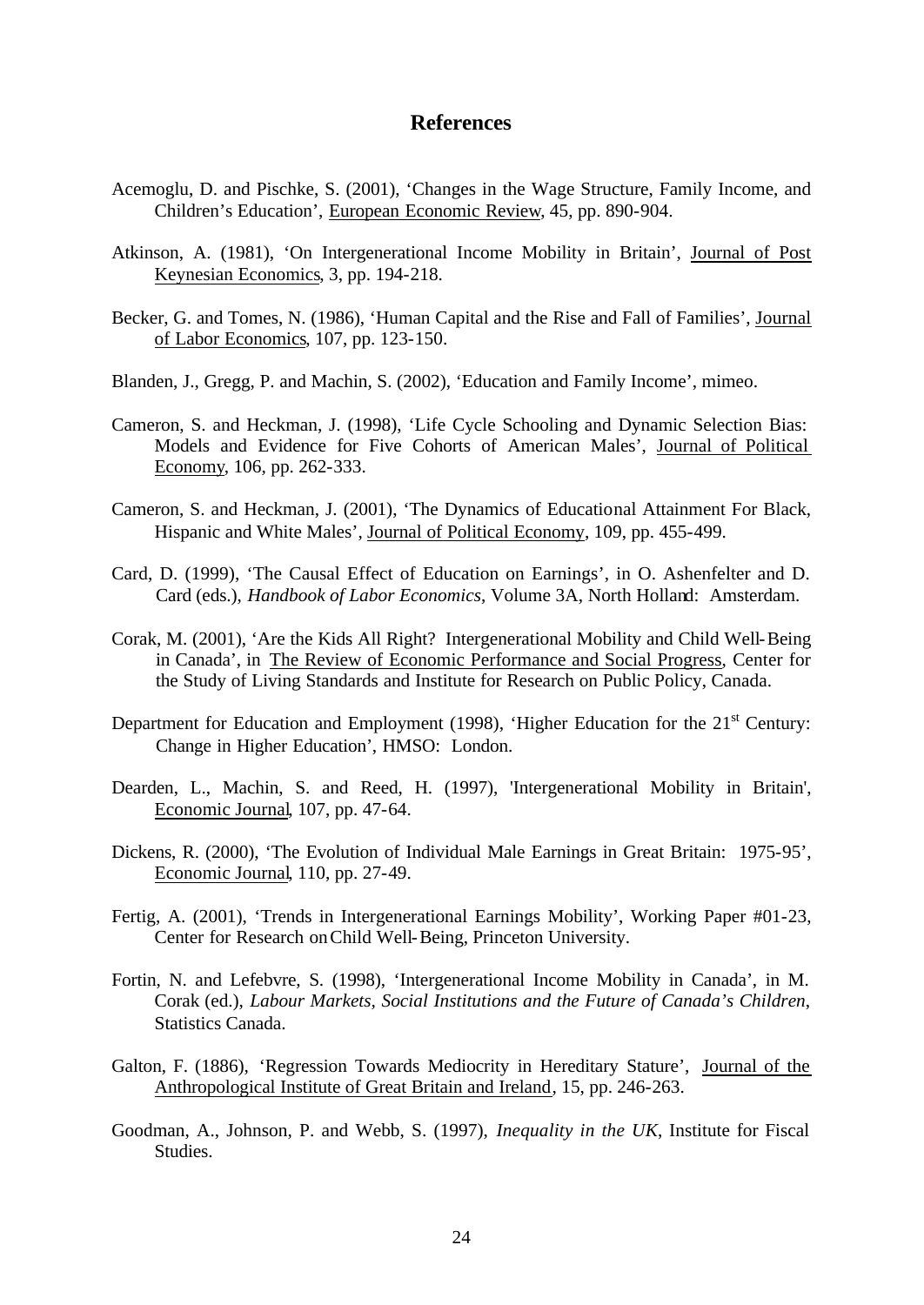#### **References**

- Acemoglu, D. and Pischke, S. (2001), 'Changes in the Wage Structure, Family Income, and Children's Education', European Economic Review, 45, pp. 890-904.
- Atkinson, A. (1981), 'On Intergenerational Income Mobility in Britain', Journal of Post Keynesian Economics, 3, pp. 194-218.
- Becker, G. and Tomes, N. (1986), 'Human Capital and the Rise and Fall of Families', Journal of Labor Economics, 107, pp. 123-150.
- Blanden, J., Gregg, P. and Machin, S. (2002), 'Education and Family Income', mimeo.
- Cameron, S. and Heckman, J. (1998), 'Life Cycle Schooling and Dynamic Selection Bias: Models and Evidence for Five Cohorts of American Males', Journal of Political Economy, 106, pp. 262-333.
- Cameron, S. and Heckman, J. (2001), 'The Dynamics of Educational Attainment For Black, Hispanic and White Males', Journal of Political Economy, 109, pp. 455-499.
- Card, D. (1999), 'The Causal Effect of Education on Earnings', in O. Ashenfelter and D. Card (eds.), *Handbook of Labor Economics*, Volume 3A, North Holland: Amsterdam.
- Corak, M. (2001), 'Are the Kids All Right? Intergenerational Mobility and Child Well-Being in Canada', in The Review of Economic Performance and Social Progress, Center for the Study of Living Standards and Institute for Research on Public Policy, Canada.
- Department for Education and Employment (1998), 'Higher Education for the  $21<sup>st</sup>$  Century: Change in Higher Education', HMSO: London.
- Dearden, L., Machin, S. and Reed, H. (1997), 'Intergenerational Mobility in Britain', Economic Journal, 107, pp. 47-64.
- Dickens, R. (2000), 'The Evolution of Individual Male Earnings in Great Britain: 1975-95', Economic Journal, 110, pp. 27-49.
- Fertig, A. (2001), 'Trends in Intergenerational Earnings Mobility', Working Paper #01-23, Center for Research on Child Well-Being, Princeton University.
- Fortin, N. and Lefebvre, S. (1998), 'Intergenerational Income Mobility in Canada', in M. Corak (ed.), *Labour Markets, Social Institutions and the Future of Canada's Children*, Statistics Canada.
- Galton, F. (1886), 'Regression Towards Mediocrity in Hereditary Stature', Journal of the Anthropological Institute of Great Britain and Ireland, 15, pp. 246-263.
- Goodman, A., Johnson, P. and Webb, S. (1997), *Inequality in the UK*, Institute for Fiscal Studies.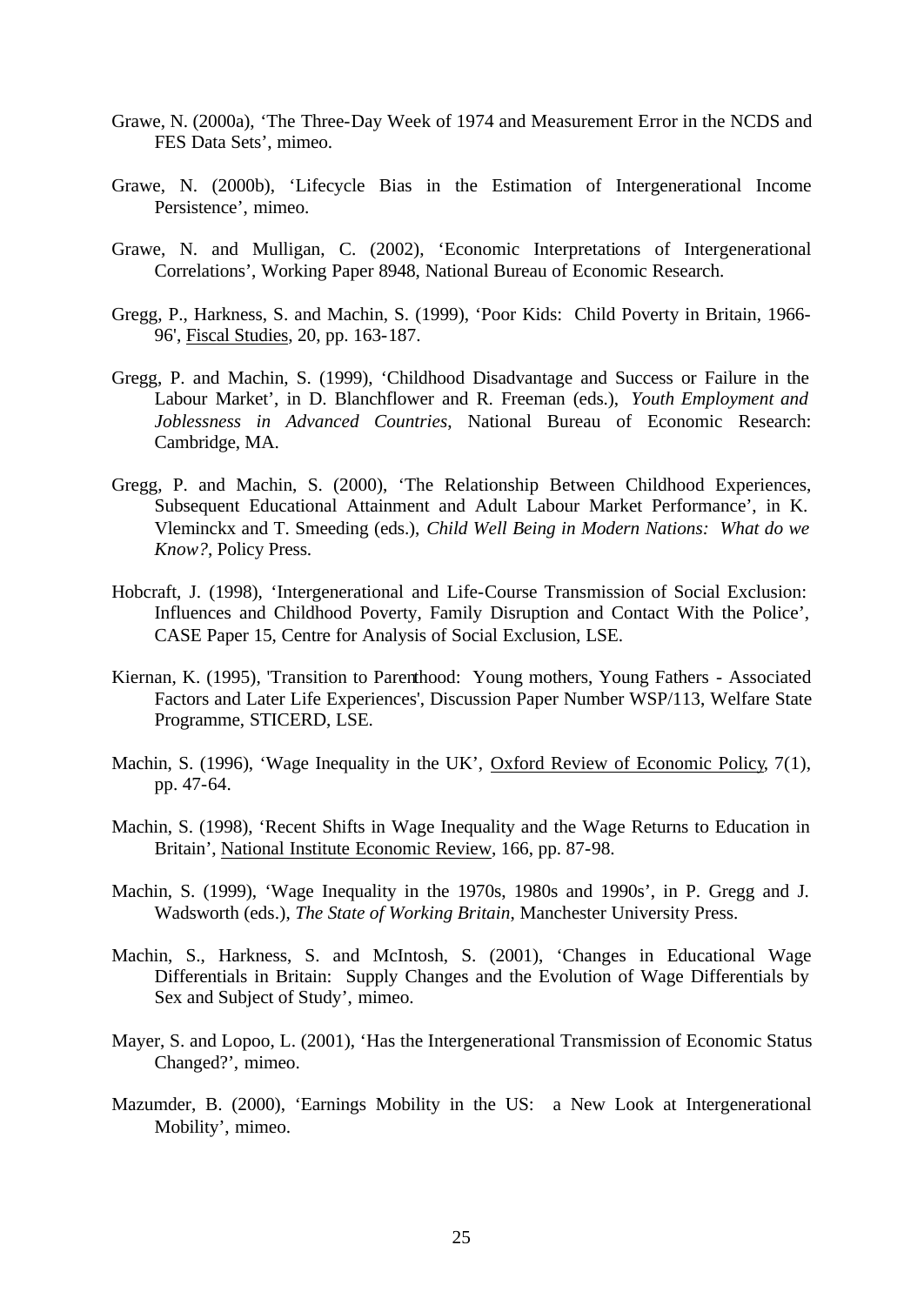- Grawe, N. (2000a), 'The Three-Day Week of 1974 and Measurement Error in the NCDS and FES Data Sets', mimeo.
- Grawe, N. (2000b), 'Lifecycle Bias in the Estimation of Intergenerational Income Persistence', mimeo.
- Grawe, N. and Mulligan, C. (2002), 'Economic Interpretations of Intergenerational Correlations', Working Paper 8948, National Bureau of Economic Research.
- Gregg, P., Harkness, S. and Machin, S. (1999), 'Poor Kids: Child Poverty in Britain, 1966- 96', Fiscal Studies, 20, pp. 163-187.
- Gregg, P. and Machin, S. (1999), 'Childhood Disadvantage and Success or Failure in the Labour Market', in D. Blanchflower and R. Freeman (eds.), *Youth Employment and Joblessness in Advanced Countries*, National Bureau of Economic Research: Cambridge, MA.
- Gregg, P. and Machin, S. (2000), 'The Relationship Between Childhood Experiences, Subsequent Educational Attainment and Adult Labour Market Performance', in K. Vleminckx and T. Smeeding (eds.), *Child Well Being in Modern Nations: What do we Know?*, Policy Press.
- Hobcraft, J. (1998), 'Intergenerational and Life-Course Transmission of Social Exclusion: Influences and Childhood Poverty, Family Disruption and Contact With the Police', CASE Paper 15, Centre for Analysis of Social Exclusion, LSE.
- Kiernan, K. (1995), 'Transition to Parenthood: Young mothers, Young Fathers Associated Factors and Later Life Experiences', Discussion Paper Number WSP/113, Welfare State Programme, STICERD, LSE.
- Machin, S. (1996), 'Wage Inequality in the UK', Oxford Review of Economic Policy, 7(1), pp. 47-64.
- Machin, S. (1998), 'Recent Shifts in Wage Inequality and the Wage Returns to Education in Britain', National Institute Economic Review, 166, pp. 87-98.
- Machin, S. (1999), 'Wage Inequality in the 1970s, 1980s and 1990s', in P. Gregg and J. Wadsworth (eds.), *The State of Working Britain*, Manchester University Press.
- Machin, S., Harkness, S. and McIntosh, S. (2001), 'Changes in Educational Wage Differentials in Britain: Supply Changes and the Evolution of Wage Differentials by Sex and Subject of Study', mimeo.
- Mayer, S. and Lopoo, L. (2001), 'Has the Intergenerational Transmission of Economic Status Changed?', mimeo.
- Mazumder, B. (2000), 'Earnings Mobility in the US: a New Look at Intergenerational Mobility', mimeo.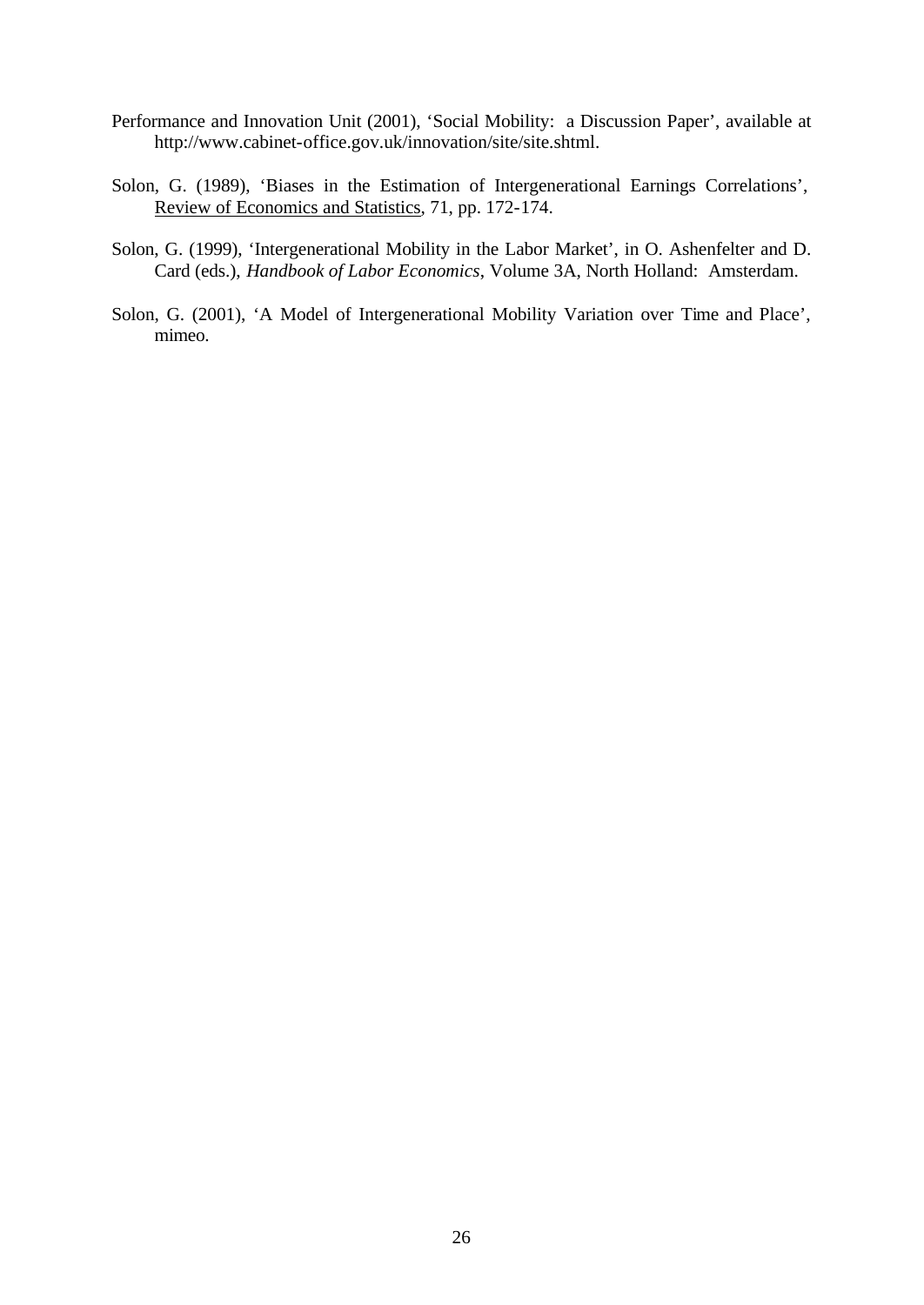- Performance and Innovation Unit (2001), 'Social Mobility: a Discussion Paper', available at http://www.cabinet-office.gov.uk/innovation/site/site.shtml.
- Solon, G. (1989), 'Biases in the Estimation of Intergenerational Earnings Correlations', Review of Economics and Statistics, 71, pp. 172-174.
- Solon, G. (1999), 'Intergenerational Mobility in the Labor Market', in O. Ashenfelter and D. Card (eds.), *Handbook of Labor Economics*, Volume 3A, North Holland: Amsterdam.
- Solon, G. (2001), 'A Model of Intergenerational Mobility Variation over Time and Place', mimeo.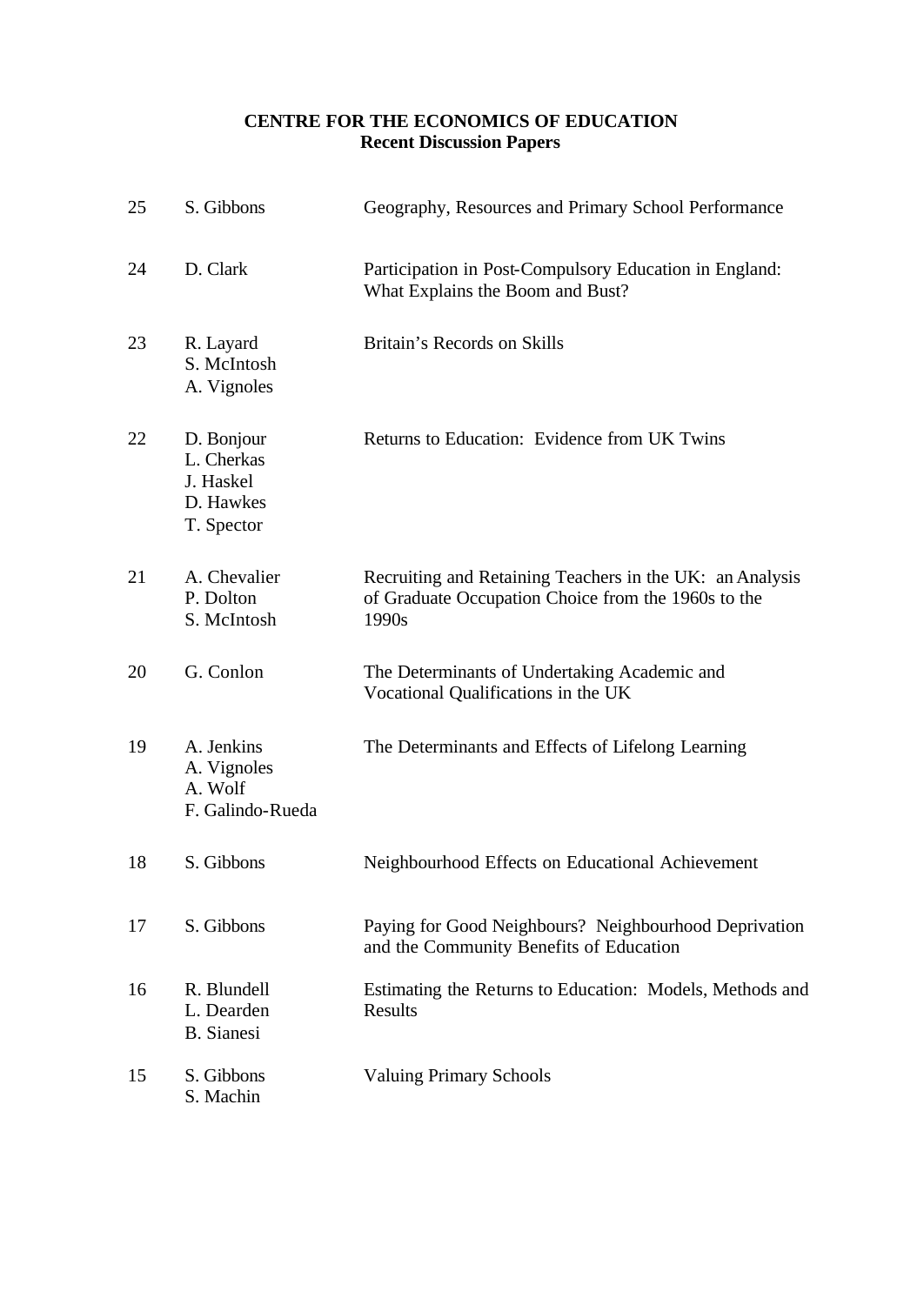# **CENTRE FOR THE ECONOMICS OF EDUCATION Recent Discussion Papers**

| 25 | S. Gibbons                                                       | Geography, Resources and Primary School Performance                                                                      |
|----|------------------------------------------------------------------|--------------------------------------------------------------------------------------------------------------------------|
| 24 | D. Clark                                                         | Participation in Post-Compulsory Education in England:<br>What Explains the Boom and Bust?                               |
| 23 | R. Layard<br>S. McIntosh<br>A. Vignoles                          | Britain's Records on Skills                                                                                              |
| 22 | D. Bonjour<br>L. Cherkas<br>J. Haskel<br>D. Hawkes<br>T. Spector | Returns to Education: Evidence from UK Twins                                                                             |
| 21 | A. Chevalier<br>P. Dolton<br>S. McIntosh                         | Recruiting and Retaining Teachers in the UK: an Analysis<br>of Graduate Occupation Choice from the 1960s to the<br>1990s |
| 20 | G. Conlon                                                        | The Determinants of Undertaking Academic and<br>Vocational Qualifications in the UK                                      |
| 19 | A. Jenkins<br>A. Vignoles<br>A. Wolf<br>F. Galindo-Rueda         | The Determinants and Effects of Lifelong Learning                                                                        |
| 18 | S. Gibbons                                                       | Neighbourhood Effects on Educational Achievement                                                                         |
| 17 | S. Gibbons                                                       | Paying for Good Neighbours? Neighbourhood Deprivation<br>and the Community Benefits of Education                         |
| 16 | R. Blundell<br>L. Dearden<br><b>B.</b> Sianesi                   | Estimating the Returns to Education: Models, Methods and<br>Results                                                      |
| 15 | S. Gibbons<br>S. Machin                                          | <b>Valuing Primary Schools</b>                                                                                           |